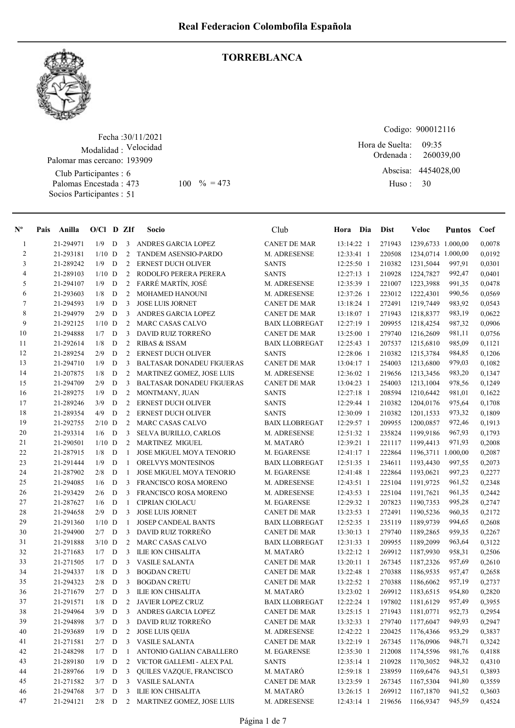

#### **TORREBLANCA**

Fecha : 30/11/2021 Modalidad : Velocidad Palomar mas cercano: 193909

Club Participantes : 6 Palomas Encestada : Socios Participantes : 51

Codigo: 900012116

Ordenada : Abscisa: 4454028,00 Huso : 09:35 473 100  $\% = 473$  Huso: 30 Hora de Suelta: 260039,00

| $\mathbf{N}^{\mathbf{o}}$ | Pais | Anilla    | $O/CI$ D ZIf |             |                | Socio                            | Club                  | Hora Dia     | <b>Dist</b> | Veloc              | <b>Puntos</b> | Coef   |
|---------------------------|------|-----------|--------------|-------------|----------------|----------------------------------|-----------------------|--------------|-------------|--------------------|---------------|--------|
| $\mathbf{1}$              |      | 21-294971 | 1/9          | D           | 3              | ANDRES GARCIA LOPEZ              | <b>CANET DE MAR</b>   | 13:14:22 1   | 271943      | 1239,6733 1.000,00 |               | 0,0078 |
| $\overline{c}$            |      | 21-293181 | $1/10$ D     |             | $\overline{c}$ | TANDEM ASENSIO-PARDO             | M. ADRESENSE          | 12:33:41 1   | 220508      | 1234,0714 1.000,00 |               | 0,0192 |
| 3                         |      | 21-289242 | 1/9          | D           | $\overline{c}$ | <b>ERNEST DUCH OLIVER</b>        | <b>SANTS</b>          | 12:25:50 1   | 210382      | 1231,5044          | 997,91        | 0,0301 |
| $\overline{4}$            |      | 21-289103 | $1/10$ D     |             | 2              | RODOLFO PERERA PERERA            | <b>SANTS</b>          | 12:27:13 1   | 210928      | 1224,7827          | 992,47        | 0,0401 |
| 5                         |      | 21-294107 | 1/9          | D           | $\overline{2}$ | FARRÉ MARTÍN, JOSÉ               | M. ADRESENSE          | 12:35:39 1   | 221007      | 1223,3988          | 991,35        | 0,0478 |
| 6                         |      | 21-293603 | 1/8          | D           | $\overline{2}$ | MOHAMED HANOUNI                  | M. ADRESENSE          | 12:37:26 1   | 223012      | 1222,4301          | 990,56        | 0,0569 |
| $\tau$                    |      | 21-294593 | 1/9          | D           | 3              | <b>JOSE LUIS JORNET</b>          | <b>CANET DE MAR</b>   | 13:18:24 1   | 272491      | 1219,7449          | 983,92        | 0,0543 |
| 8                         |      | 21-294979 | 2/9          | D           | 3              | ANDRES GARCIA LOPEZ              | <b>CANET DE MAR</b>   | 13:18:07 1   | 271943      | 1218,8377          | 983,19        | 0,0622 |
| 9                         |      | 21-292125 | $1/10$ D     |             | $\overline{c}$ | <b>MARC CASAS CALVO</b>          | <b>BAIX LLOBREGAT</b> | 12:27:19 1   | 209955      | 1218,4254          | 987,32        | 0,0906 |
| 10                        |      | 21-294888 | 1/7          | D           | 3              | DAVID RUIZ TORREÑO               | <b>CANET DE MAR</b>   | 13:25:00 1   | 279740      | 1216,2609          | 981,11        | 0,0756 |
| 11                        |      | 21-292614 | 1/8          | D           | $\overline{c}$ | <b>RIBAS &amp; ISSAM</b>         | <b>BAIX LLOBREGAT</b> | 12:25:43 1   | 207537      | 1215,6810          | 985,09        | 0,1121 |
| 12                        |      | 21-289254 | 2/9          | D           | $\overline{c}$ | <b>ERNEST DUCH OLIVER</b>        | <b>SANTS</b>          | 12:28:06 1   | 210382      | 1215,3784          | 984,85        | 0,1206 |
| 13                        |      | 21-294710 | 1/9          | D           | 3              | <b>BALTASAR DONADEU FIGUERAS</b> | <b>CANET DE MAR</b>   | 13:04:17 1   | 254003      | 1213,6800          | 979,03        | 0,1082 |
| 14                        |      | 21-207875 | 1/8          | D           | $\overline{2}$ | MARTINEZ GOMEZ, JOSE LUIS        | M. ADRESENSE          | 12:36:02 1   | 219656      | 1213,3456          | 983,20        | 0,1347 |
| 15                        |      | 21-294709 | 2/9          | D           | 3              | <b>BALTASAR DONADEU FIGUERAS</b> | <b>CANET DE MAR</b>   | 13:04:23 1   | 254003      | 1213,1004          | 978,56        | 0,1249 |
| 16                        |      | 21-289275 | 1/9          | D           | 2              | MONTMANY, JUAN                   | <b>SANTS</b>          | 12:27:18 1   | 208594      | 1210,6442          | 981,01        | 0,1622 |
| 17                        |      | 21-289246 | 3/9          | D           | $\overline{2}$ | ERNEST DUCH OLIVER               | <b>SANTS</b>          | 12:29:44 1   | 210382      | 1204,0176          | 975,64        | 0,1708 |
| 18                        |      | 21-289354 | 4/9          | D           | $\overline{2}$ | <b>ERNEST DUCH OLIVER</b>        | <b>SANTS</b>          | 12:30:09 1   | 210382      | 1201,1533          | 973,32        | 0,1809 |
| 19                        |      | 21-292755 | $2/10$ D     |             | $\overline{c}$ | <b>MARC CASAS CALVO</b>          | <b>BAIX LLOBREGAT</b> | 12:29:57 1   | 209955      | 1200,0857          | 972,46        | 0,1913 |
| 20                        |      | 21-293314 | 1/6          | D           | 3              | SELVA BURILLO, CARLOS            | M. ADRESENSE          | 12:51:32 1   | 235824      | 1199,9186          | 967,93        | 0,1793 |
| 21                        |      | 21-290501 | $1/10$ D     |             | $\overline{c}$ | <b>MARTINEZ MIGUEL</b>           | M. MATARÓ             | 12:39:21 1   | 221117      | 1199,4413          | 971,93        | 0,2008 |
| 22                        |      | 21-287915 | 1/8          | D           | 1              | <b>JOSE MIGUEL MOYA TENORIO</b>  | M. EGARENSE           | 12:41:17 1   | 222864      | 1196,3711 1.000,00 |               | 0,2087 |
| 23                        |      | 21-291444 | 1/9          | D           | 1              | ORELVYS MONTESINOS               | <b>BAIX LLOBREGAT</b> | 12:51:35 1   | 234611      | 1193,4430          | 997,55        | 0,2073 |
| 24                        |      | 21-287902 | 2/8          | D           | 1              | <b>JOSE MIGUEL MOYA TENORIO</b>  | M. EGARENSE           | 12:41:48 1   | 222864      | 1193,0621          | 997,23        | 0,2277 |
| 25                        |      | 21-294085 | 1/6          | D           | 3              | FRANCISCO ROSA MORENO            | M. ADRESENSE          | 12:43:51 1   | 225104      | 1191,9725          | 961,52        | 0,2348 |
| 26                        |      | 21-293429 | 2/6          | D           | 3              | FRANCISCO ROSA MORENO            | M. ADRESENSE          | 12:43:53 1   | 225104      | 1191,7621          | 961,35        | 0,2442 |
| 27                        |      | 21-287627 | 1/6          | D           | 1              | <b>CIPRIAN CIOLACU</b>           | M. EGARENSE           | 12:29:32 1   | 207823      | 1190,7353          | 995,28        | 0,2747 |
| 28                        |      | 21-294658 | 2/9          | D           | 3              | <b>JOSE LUIS JORNET</b>          | <b>CANET DE MAR</b>   | 13:23:53 1   | 272491      | 1190,5236          | 960,35        | 0,2172 |
| 29                        |      | 21-291360 | $1/10$ D     |             | 1              | JOSEP CANDEAL BANTS              | <b>BAIX LLOBREGAT</b> | 12:52:35 1   | 235119      | 1189,9739          | 994,65        | 0,2608 |
| 30                        |      | 21-294900 | 2/7          | D           | 3              | DAVID RUIZ TORREÑO               | <b>CANET DE MAR</b>   | 13:30:13 1   | 279740      | 1189,2865          | 959,35        | 0,2267 |
| 31                        |      | 21-291888 | $3/10$ D     |             | $\overline{c}$ | <b>MARC CASAS CALVO</b>          | <b>BAIX LLOBREGAT</b> | 12:31:33 1   | 209955      | 1189,2099          | 963,64        | 0,3122 |
| 32                        |      | 21-271683 | 1/7          | D           | 3              | ILIE ION CHISALITA               | M. MATARÓ             | 13:22:12 1   | 269912      | 1187,9930          | 958,31        | 0,2506 |
| 33                        |      | 21-271505 | 1/7          | D           | 3              | <b>VASILE SALANTA</b>            | <b>CANET DE MAR</b>   | 13:20:11 1   | 267345      | 1187,2326          | 957,69        | 0,2610 |
| 34                        |      | 21-294337 | 1/8          | D           | 3              | <b>BOGDAN CRETU</b>              | <b>CANET DE MAR</b>   | 13:22:48 1   | 270388      | 1186,9535          | 957,47        | 0,2658 |
| 35                        |      | 21-294323 | 2/8          | D           | 3              | <b>BOGDAN CRETU</b>              | <b>CANET DE MAR</b>   | 13:22:52 1   | 270388      | 1186,6062          | 957,19        | 0,2737 |
| 36                        |      | 21-271679 | 2/7          | D           | 3              | <b>ILIE ION CHISALITA</b>        | M. MATARÓ             | 13:23:02 1   | 269912      | 1183,6515          | 954,80        | 0,2820 |
| 37                        |      | 21-291571 | 1/8          | D           | 2              | <b>JAVIER LOPEZ CRUZ</b>         | <b>BAIX LLOBREGAT</b> | 12:22:24 1   | 197802      | 1181,6129          | 957,49        | 0,3955 |
| 38                        |      | 21-294964 | 3/9          | D           | 3              | ANDRES GARCIA LOPEZ              | CANET DE MAR          | $13:25:15$ 1 | 271943      | 1181,0771          | 952,73        | 0,2954 |
| 39                        |      | 21-294898 | 3/7          | D           | 3              | DAVID RUIZ TORREÑO               | <b>CANET DE MAR</b>   | 13:32:33 1   | 279740      | 1177,6047          | 949,93        | 0,2947 |
| 40                        |      | 21-293689 | 1/9          | D           | 2              | <b>JOSE LUIS QEIJA</b>           | M. ADRESENSE          | 12:42:22 1   | 220425      | 1176,4366          | 953,29        | 0,3837 |
| 41                        |      | 21-271581 | 2/7          | D           | 3              | <b>VASILE SALANTA</b>            | <b>CANET DE MAR</b>   | 13:22:19 1   | 267345      | 1176,0906          | 948,71        | 0,3242 |
| 42                        |      | 21-248298 | 1/7          | D           | 1              | ANTONIO GALIAN CABALLERO         | M. EGARENSE           | 12:35:30 1   | 212008      | 1174,5596          | 981,76        | 0,4188 |
| 43                        |      | 21-289180 | 1/9          | D           | 2              | VICTOR GALLEMI - ALEX PAL        | <b>SANTS</b>          | $12:35:14$ 1 | 210928      | 1170,3052          | 948,32        | 0,4310 |
| 44                        |      | 21-289766 | 1/9          | D           | 3              | QUILES VAZQUE, FRANCISCO         | M. MATARÓ             | 12:59:18 1   | 238959      | 1169,6476          | 943,51        | 0,3893 |
| 45                        |      | 21-271582 | 3/7          | D           | 3              | <b>VASILE SALANTA</b>            | <b>CANET DE MAR</b>   | 13:23:59 1   | 267345      | 1167,5304          | 941,80        | 0,3559 |
| 46                        |      | 21-294768 | 3/7          | $\mathbf D$ | 3              | ILIE ION CHISALITA               | M. MATARÓ             | 13:26:15 1   | 269912      | 1167,1870          | 941,52        | 0,3603 |
| 47                        |      | 21-294121 | $2/8$ D      |             | $\overline{2}$ | MARTINEZ GOMEZ, JOSE LUIS        | M. ADRESENSE          | 12:43:14 1   | 219656      | 1166,9347          | 945,59        | 0,4524 |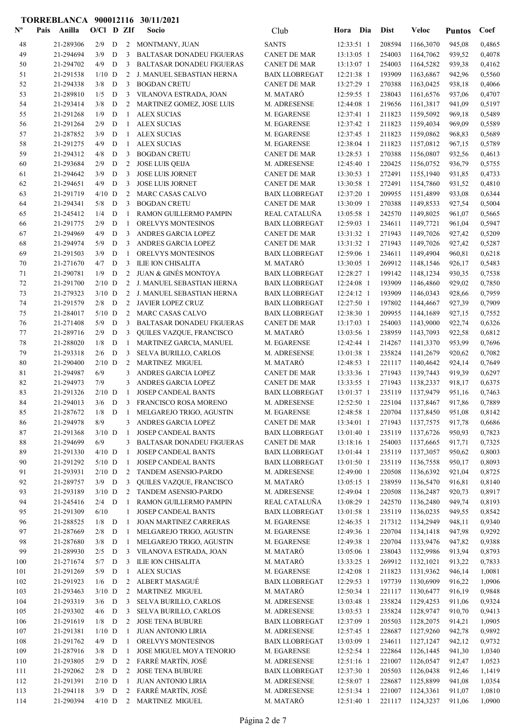| $N^{\text{o}}$ | Pais | Anilla                 | $O/Cl$ D ZIf        |        |                | Socio                                                        | Club                                           | Hora                     | Dia        | <b>Dist</b>      | <b>Veloc</b>           | <b>Puntos</b>    | Coef             |
|----------------|------|------------------------|---------------------|--------|----------------|--------------------------------------------------------------|------------------------------------------------|--------------------------|------------|------------------|------------------------|------------------|------------------|
| 48             |      | 21-289306              | 2/9                 | D      |                | 2 MONTMANY, JUAN                                             | <b>SANTS</b>                                   | 12:33:51 1               |            | 208594           | 1166,3070              | 945,08           | 0,4865           |
| 49             |      | 21-294694              | 3/9                 | D      | 3              | <b>BALTASAR DONADEU FIGUERAS</b>                             | <b>CANET DE MAR</b>                            | 13:13:05 1               |            | 254003           | 1164,7062              | 939,52           | 0,4078           |
| 50             |      | 21-294702              | 4/9                 | D      | 3              | <b>BALTASAR DONADEU FIGUERAS</b>                             | <b>CANET DE MAR</b>                            | 13:13:07 1               |            | 254003           | 1164,5282              | 939,38           | 0,4162           |
| 51             |      | 21-291538              | $1/10$ D            |        | 2              | J. MANUEL SEBASTIAN HERNA                                    | <b>BAIX LLOBREGAT</b>                          | 12:21:38 1               |            | 193909           | 1163,6867              | 942,96           | 0,5560           |
| 52             |      | 21-294338              | 3/8                 | D      | 3              | <b>BOGDAN CRETU</b>                                          | <b>CANET DE MAR</b>                            | 13:27:29 1               |            | 270388           | 1163,0425              | 938,18           | 0,4066           |
| 53             |      | 21-289810              | 1/5                 | D      | 3              | VILANOVA ESTRADA, JOAN                                       | M. MATARÓ                                      | 12:59:55 1               |            | 238043           | 1161,6576              | 937,06           | 0,4707           |
| 54             |      | 21-293414              | 3/8                 | D      | 2              | MARTINEZ GOMEZ, JOSE LUIS                                    | M. ADRESENSE                                   | 12:44:08 1               |            | 219656           | 1161,3817              | 941,09           | 0,5197           |
| 55             |      | 21-291268              | 1/9                 | D      | 1              | <b>ALEX SUCIAS</b>                                           | M. EGARENSE                                    | 12:37:41 1               |            | 211823           | 1159,5092              | 969,18           | 0,5489           |
| 56<br>57       |      | 21-291264<br>21-287852 | 2/9<br>3/9          | D<br>D | 1<br>-1        | <b>ALEX SUCIAS</b><br><b>ALEX SUCIAS</b>                     | M. EGARENSE<br>M. EGARENSE                     | 12:37:42 1<br>12:37:45 1 |            | 211823<br>211823 | 1159,4034<br>1159,0862 | 969,09<br>968,83 | 0,5589<br>0,5689 |
| 58             |      | 21-291275              | 4/9                 | D      | 1              | <b>ALEX SUCIAS</b>                                           | M. EGARENSE                                    | 12:38:04 1               |            | 211823           | 1157,0812              | 967,15           | 0,5789           |
| 59             |      | 21-294312              | 4/8                 | D      | 3              | <b>BOGDAN CRETU</b>                                          | <b>CANET DE MAR</b>                            | 13:28:53 1               |            | 270388           | 1156,0807              | 932,56           | 0,4613           |
| 60             |      | 21-293684              | 2/9                 | D      | 2              | <b>JOSE LUIS QEIJA</b>                                       | M. ADRESENSE                                   | 12:45:40 1               |            | 220425           | 1156,0752              | 936,79           | 0,5755           |
| 61             |      | 21-294642              | 3/9                 | D      | 3              | <b>JOSE LUIS JORNET</b>                                      | <b>CANET DE MAR</b>                            | 13:30:53 1               |            | 272491           | 1155,1940              | 931,85           | 0,4733           |
| 62             |      | 21-294651              | 4/9                 | D      | 3              | <b>JOSE LUIS JORNET</b>                                      | <b>CANET DE MAR</b>                            | 13:30:58 1               |            | 272491           | 1154,7860              | 931,52           | 0,4810           |
| 63             |      | 21-291719              | $4/10$ D            |        | 2              | MARC CASAS CALVO                                             | <b>BAIX LLOBREGAT</b>                          | 12:37:20 1               |            | 209955           | 1151,4899              | 933,08           | 0,6344           |
| 64             |      | 21-294341              | 5/8                 | D      | 3              | <b>BOGDAN CRETU</b>                                          | <b>CANET DE MAR</b>                            | 13:30:09 1               |            | 270388           | 1149,8533              | 927,54           | 0,5004           |
| 65             |      | 21-245412              | 1/4                 | D      | -1             | RAMON GUILLERMO PAMPIN                                       | REAL CATALUÑA                                  | 13:05:58 1               |            | 242570           | 1149,8025              | 961,07           | 0,5665           |
| 66             |      | 21-291775              | 2/9                 | D      | -1             | ORELVYS MONTESINOS                                           | <b>BAIX LLOBREGAT</b>                          | 12:59:03 1               |            | 234611           | 1149,7721              | 961,04           | 0,5947           |
| 67             |      | 21-294969              | 4/9                 | D      | 3              | ANDRES GARCIA LOPEZ                                          | CANET DE MAR                                   | 13:31:32 1               |            | 271943           | 1149,7026              | 927,42           | 0,5209           |
| 68             |      | 21-294974              | 5/9                 | D      | 3              | ANDRES GARCIA LOPEZ                                          | <b>CANET DE MAR</b>                            | 13:31:32 1               |            | 271943           | 1149,7026              | 927,42           | 0,5287           |
| 69             |      | 21-291503              | 3/9                 | D      | -1             | ORELVYS MONTESINOS                                           | <b>BAIX LLOBREGAT</b>                          | 12:59:06 1               |            | 234611           | 1149,4904              | 960,81           | 0,6218           |
| 70             |      | 21-271670              | 4/7                 | D      | 3              | ILIE ION CHISALITA                                           | M. MATARÓ                                      | 13:30:05 1               |            | 269912           | 1148,1546              | 926,17           | 0,5483           |
| 71<br>72       |      | 21-290781<br>21-291700 | 1/9<br>$2/10$ D     | D      | 2<br>2         | <b>JUAN &amp; GINÉS MONTOYA</b><br>J. MANUEL SEBASTIAN HERNA | <b>BAIX LLOBREGAT</b><br><b>BAIX LLOBREGAT</b> | 12:28:27 1<br>12:24:08 1 |            | 199142<br>193909 | 1148,1234              | 930,35<br>929,02 | 0,7538<br>0,7850 |
| 73             |      | 21-279323              | $3/10$ D            |        | 2              | J. MANUEL SEBASTIAN HERNA                                    | <b>BAIX LLOBREGAT</b>                          | $12:24:12$ 1             |            | 193909           | 1146,4860<br>1146,0343 | 928,66           | 0,7959           |
| 74             |      | 21-291579              | 2/8                 | D      | 2              | JAVIER LOPEZ CRUZ                                            | <b>BAIX LLOBREGAT</b>                          | 12:27:50 1               |            | 197802           | 1144,4667              | 927,39           | 0,7909           |
| 75             |      | 21-284017              | $5/10$ D            |        | 2              | MARC CASAS CALVO                                             | <b>BAIX LLOBREGAT</b>                          | 12:38:30 1               |            | 209955           | 1144,1689              | 927,15           | 0,7552           |
| 76             |      | 21-271408              | 5/9                 | D      | 3              | <b>BALTASAR DONADEU FIGUERAS</b>                             | <b>CANET DE MAR</b>                            | 13:17:03 1               |            | 254003           | 1143,9000              | 922,74           | 0,6326           |
| 77             |      | 21-289716              | 2/9                 | D      | 3              | QUILES VAZQUE, FRANCISCO                                     | M. MATARÓ                                      | 13:03:56 1               |            | 238959           | 1143,7093              | 922,58           | 0,6812           |
| 78             |      | 21-288020              | 1/8                 | D      | -1             | MARTINEZ GARCIA, MANUEL                                      | M. EGARENSE                                    | 12:42:44 1               |            | 214267           | 1141,3370              | 953,99           | 0,7696           |
| 79             |      | 21-293318              | 2/6                 | D      | 3              | <b>SELVA BURILLO, CARLOS</b>                                 | M. ADRESENSE                                   | 13:01:38 1               |            | 235824           | 1141,2679              | 920,62           | 0,7082           |
| 80             |      | 21-290400              | $2/10$ D            |        | 2              | <b>MARTINEZ MIGUEL</b>                                       | M. MATARÓ                                      | 12:48:53 1               |            | 221117           | 1140,4642              | 924,14           | 0,7649           |
| 81             |      | 21-294987              | 6/9                 |        | 3              | ANDRES GARCIA LOPEZ                                          | <b>CANET DE MAR</b>                            | 13:33:36 1               |            | 271943           | 1139,7443              | 919,39           | 0,6297           |
| 82             |      | 21-294973              | 7/9                 |        | 3              | ANDRES GARCIA LOPEZ                                          | <b>CANET DE MAR</b>                            | 13:33:55 1               |            | 271943           | 1138,2337              | 918,17           | 0,6375           |
| 83             |      | 21-291326              | $2/10$ D            |        | $\mathbf{1}$   | <b>JOSEP CANDEAL BANTS</b>                                   | <b>BAIX LLOBREGAT</b>                          | 13:01:37 1               |            | 235119           | 1137,9479              | 951,16           | 0,7463           |
| 84             |      | 21-294013              | $3/6$ D             |        |                | 3 FRANCISCO ROSA MORENO                                      | M. ADRESENSE                                   | 12:52:50 1               |            | 225104           | 1137,8467              | 917,86           | 0,7889           |
| 85             |      | 21-287672              |                     |        |                | 1/8 D 1 MELGAREJO TRIGO, AGUSTIN                             | M. EGARENSE                                    |                          | 12:48:58 1 |                  | 220704 1137,8450       | 951,08           | 0,8142           |
| 86             |      | 21-294978              | 8/9                 |        | 3              | ANDRES GARCIA LOPEZ                                          | <b>CANET DE MAR</b>                            | 13:34:01 1               |            | 271943           | 1137,7575              | 917,78           | 0,6686           |
| 87<br>88       |      | 21-291368<br>21-294699 | $3/10$ D<br>6/9     |        | -1<br>3        | JOSEP CANDEAL BANTS<br><b>BALTASAR DONADEU FIGUERAS</b>      | <b>BAIX LLOBREGAT</b><br><b>CANET DE MAR</b>   | 13:01:40 1<br>13:18:16 1 |            | 235119<br>254003 | 1137,6726<br>1137,6665 | 950,93<br>917,71 | 0,7823<br>0,7325 |
| 89             |      | 21-291330              | $4/10$ D            |        | -1             | JOSEP CANDEAL BANTS                                          | <b>BAIX LLOBREGAT</b>                          | 13:01:44 1               |            | 235119           | 1137,3057              | 950,62           | 0,8003           |
| 90             |      | 21-291292              | $5/10$ D            |        | -1             | JOSEP CANDEAL BANTS                                          | <b>BAIX LLOBREGAT</b>                          | 13:01:50 1               |            | 235119           | 1136,7558              | 950,17           | 0,8093           |
| 91             |      | 21-293931              | $2/10$ D            |        | 2              | <b>TANDEM ASENSIO-PARDO</b>                                  | M. ADRESENSE                                   | 12:49:00 1               |            | 220508           | 1136,6392              | 921,04           | 0,8725           |
| 92             |      | 21-289757              | $3/9$ D             |        | 3              | QUILES VAZQUE, FRANCISCO                                     | M. MATARÓ                                      | 13:05:15 1               |            | 238959           | 1136,5470              | 916,81           | 0,8140           |
| 93             |      | 21-293189              | $3/10$ D            |        | 2              | TANDEM ASENSIO-PARDO                                         | M. ADRESENSE                                   | 12:49:04 1               |            | 220508           | 1136,2487              | 920,73           | 0,8917           |
| 94             |      | 21-245416              | $2/4$ D             |        | -1             | RAMON GUILLERMO PAMPIN                                       | REAL CATALUÑA                                  | 13:08:29 1               |            | 242570           | 1136,2480              | 949,74           | 0,8193           |
| 95             |      | 21-291309              | 6/10                |        | 1              | <b>JOSEP CANDEAL BANTS</b>                                   | <b>BAIX LLOBREGAT</b>                          | 13:01:58 1               |            | 235119           | 1136,0235              | 949,55           | 0,8542           |
| 96             |      | 21-288525              | 1/8                 | D      | -1             | JOAN MARTINEZ CARRERAS                                       | M. EGARENSE                                    | 12:46:35 1               |            | 217312           | 1134,2949              | 948,11           | 0,9340           |
| 97             |      | 21-287669              | 2/8                 | D      | -1             | MELGAREJO TRIGO, AGUSTIN                                     | M. EGARENSE                                    | 12:49:36 1               |            | 220704           | 1134,1418              | 947,98           | 0,9292           |
| 98             |      | 21-287680              | 3/8                 | D      | -1             | MELGAREJO TRIGO, AGUSTIN                                     | M. EGARENSE                                    | 12:49:38 1               |            | 220704           | 1133,9476              | 947,82           | 0,9388           |
| 99             |      | 21-289930              | 2/5                 | D      | 3              | VILANOVA ESTRADA, JOAN                                       | M. MATARÓ                                      | 13:05:06 1               |            | 238043           | 1132,9986              | 913,94           | 0,8793           |
| 100            |      | 21-271674              | 5/7                 | D      | 3              | ILIE ION CHISALITA                                           | M. MATARÓ                                      | 13:33:25 1               |            | 269912           | 1132,1021              | 913,22           | 0,7833           |
| 101            |      | 21-291269              | 5/9                 | D      | 1              | <b>ALEX SUCIAS</b>                                           | M. EGARENSE                                    | 12:42:08 1               |            | 211823           | 1131,9362              | 946,14           | 1,0081           |
| 102<br>103     |      | 21-291923<br>21-293463 | $1/6$ D<br>$3/10$ D |        | 2<br>2         | ALBERT MASAGUÉ<br><b>MARTINEZ MIGUEL</b>                     | <b>BAIX LLOBREGAT</b><br>M. MATARÓ             | 12:29:53 1<br>12:50:34 1 |            | 197739<br>221117 | 1130,6909<br>1130,6477 | 916,22<br>916,19 | 1,0906<br>0,9848 |
| 104            |      | 21-293319              | 3/6                 | D      | 3              | SELVA BURILLO, CARLOS                                        | M. ADRESENSE                                   | 13:03:48 1               |            | 235824           | 1129,4253              | 911,06           | 0,9324           |
| 105            |      | 21-293302              | 4/6                 | D      | 3              | SELVA BURILLO, CARLOS                                        | M. ADRESENSE                                   | 13:03:53 1               |            | 235824           | 1128,9747              | 910,70           | 0,9413           |
| 106            |      | 21-291619              | 1/8                 | D      | 2              | <b>JOSE TENA BUBURE</b>                                      | <b>BAIX LLOBREGAT</b>                          | 12:37:09 1               |            | 205503           | 1128,2075              | 914,21           | 1,0905           |
| 107            |      | 21-291381              | $1/10$ D            |        | -1             | <b>JUAN ANTONIO LIRIA</b>                                    | M. ADRESENSE                                   | 12:57:45 1               |            | 228687           | 1127,9260              | 942,78           | 0,9892           |
| 108            |      | 21-291762              | 4/9                 | D      | -1             | ORELVYS MONTESINOS                                           | <b>BAIX LLOBREGAT</b>                          | 13:03:09 1               |            | 234611           | 1127,1247              | 942,12           | 0,9732           |
| 109            |      | 21-287916              | 3/8                 | D      | -1             | <b>JOSE MIGUEL MOYA TENORIO</b>                              | M. EGARENSE                                    | 12:52:54 1               |            | 222864           | 1126,1445              | 941,30           | 1,0340           |
| 110            |      | 21-293805              | 2/9                 | D      | $2^{\circ}$    | FARRÉ MARTÍN, JOSÉ                                           | M. ADRESENSE                                   | 12:51:16 1               |            | 221007           | 1126,0547              | 912,47           | 1,0523           |
| 111            |      | 21-292062              | 2/8                 | D      | $\overline{2}$ | <b>JOSE TENA BUBURE</b>                                      | <b>BAIX LLOBREGAT</b>                          | 12:37:30 1               |            | 205503           | 1126,0438              | 912,46           | 1,1419           |
| 112            |      | 21-291391              | $2/10$ D            |        | 1              | <b>JUAN ANTONIO LIRIA</b>                                    | M. ADRESENSE                                   | 12:58:07 1               |            | 228687           | 1125,8899              | 941,08           | 1,0354           |
| 113            |      | 21-294118              | $3/9$ D             |        |                | 2 FARRÉ MARTÍN, JOSÉ                                         | M. ADRESENSE                                   | 12:51:34 1               |            | 221007           | 1124,3361              | 911,07           | 1,0810           |
| 114            |      | 21-290394              | $4/10$ D            |        |                | 2 MARTINEZ MIGUEL                                            | M. MATARÓ                                      | 12:51:40 1               |            | 221117           | 1124,3237              | 911,06           | 1,0900           |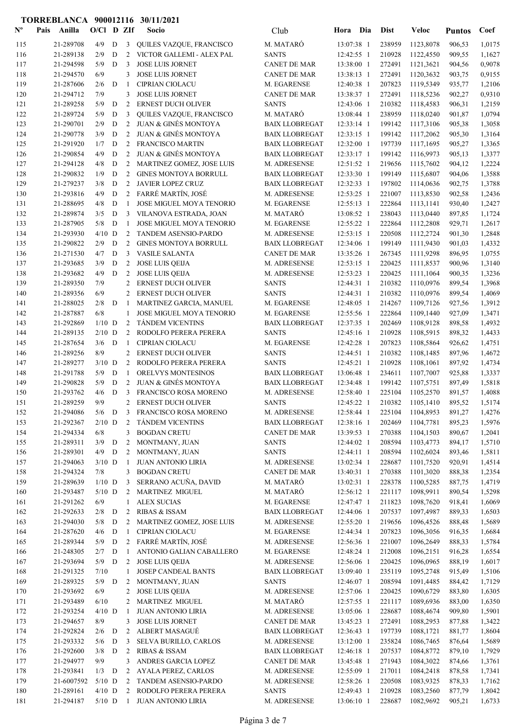| $N^{\text{o}}$ | Pais | Anilla                 | $O/CI$ D ZIf   |             |                      | Socio                                                 | Club                                         | Hora                     | Dia        | <b>Dist</b>      | Veloc                  | <b>Puntos</b>    | Coef             |
|----------------|------|------------------------|----------------|-------------|----------------------|-------------------------------------------------------|----------------------------------------------|--------------------------|------------|------------------|------------------------|------------------|------------------|
| 115            |      | 21-289708              | 4/9            | D           | $\mathbf{3}$         | QUILES VAZQUE, FRANCISCO                              | M. MATARÓ                                    | 13:07:38 1               |            | 238959           | 1123,8078              | 906,53           | 1,0175           |
| 116            |      | 21-289138              | 2/9            | D           | 2                    | VICTOR GALLEMI - ALEX PAL                             | <b>SANTS</b>                                 | 12:42:55 1               |            | 210928           | 1122,4550              | 909,55           | 1,1627           |
| 117            |      | 21-294598              | 5/9            | D           | 3                    | <b>JOSE LUIS JORNET</b>                               | <b>CANET DE MAR</b>                          | 13:38:00 1               |            | 272491           | 1121,3621              | 904,56           | 0,9078           |
| 118            |      | 21-294570              | 6/9            |             | 3                    | <b>JOSE LUIS JORNET</b>                               | <b>CANET DE MAR</b>                          | 13:38:13 1               |            | 272491           | 1120,3632              | 903,75           | 0,9155           |
| 119            |      | 21-287606              | 2/6            | D           | -1                   | <b>CIPRIAN CIOLACU</b>                                | M. EGARENSE                                  | 12:40:38 1               |            | 207823           | 1119,5349              | 935,77           | 1,2106           |
| 120            |      | 21-294712              | 7/9            |             | 3                    | <b>JOSE LUIS JORNET</b>                               | <b>CANET DE MAR</b>                          | 13:38:37 1               |            | 272491           | 1118,5236              | 902,27           | 0,9310           |
| 121<br>122     |      | 21-289258<br>21-289724 | 5/9<br>5/9     | D<br>D      | 2<br>3               | <b>ERNEST DUCH OLIVER</b>                             | <b>SANTS</b><br>M. MATARÓ                    | 12:43:06 1<br>13:08:44 1 |            | 210382<br>238959 | 1118,4583              | 906,31           | 1,2159<br>1,0794 |
| 123            |      | 21-290701              | 2/9            | D           | 2                    | QUILES VAZQUE, FRANCISCO<br>JUAN & GINÉS MONTOYA      | <b>BAIX LLOBREGAT</b>                        | 12:33:14 1               |            | 199142           | 1118,0240<br>1117,3106 | 901,87<br>905,38 | 1,3058           |
| 124            |      | 21-290778              | 3/9            | D           | 2                    | <b>JUAN &amp; GINÉS MONTOYA</b>                       | <b>BAIX LLOBREGAT</b>                        | 12:33:15 1               |            | 199142           | 1117,2062              | 905,30           | 1,3164           |
| 125            |      | 21-291920              | 1/7            | D           | 2                    | <b>FRANCISCO MARTIN</b>                               | <b>BAIX LLOBREGAT</b>                        | 12:32:00 1               |            | 197739           | 1117,1695              | 905,27           | 1,3365           |
| 126            |      | 21-290854              | 4/9            | D           | 2                    | JUAN & GINÉS MONTOYA                                  | <b>BAIX LLOBREGAT</b>                        | 12:33:17 1               |            | 199142           | 1116,9973              | 905,13           | 1,3377           |
| 127            |      | 21-294128              | 4/8            | D           | 2                    | MARTINEZ GOMEZ, JOSE LUIS                             | M. ADRESENSE                                 | $12:51:52$ 1             |            | 219656           | 1115,7602              | 904,12           | 1,2224           |
| 128            |      | 21-290832              | 1/9            | D           | 2                    | <b>GINES MONTOYA BORRULL</b>                          | <b>BAIX LLOBREGAT</b>                        | 12:33:30 1               |            | 199149           | 1115,6807              | 904,06           | 1,3588           |
| 129            |      | 21-279237              | 3/8            | D           | 2                    | JAVIER LOPEZ CRUZ                                     | <b>BAIX LLOBREGAT</b>                        | 12:32:33 1               |            | 197802           | 1114,0636              | 902,75           | 1,3788           |
| 130            |      | 21-293816              | 4/9            | D           |                      | 2 FARRÉ MARTÍN, JOSÉ                                  | M. ADRESENSE                                 | 12:53:25 1               |            | 221007           | 1113,8530              | 902,58           | 1,2436           |
| 131            |      | 21-288695              | 4/8            | D           | -1                   | JOSE MIGUEL MOYA TENORIO                              | M. EGARENSE                                  | 12:55:13 1               |            | 222864           | 1113,1141              | 930,40           | 1,2427           |
| 132            |      | 21-289874              | 3/5            | D           | 3                    | VILANOVA ESTRADA, JOAN                                | M. MATARÓ                                    | 13:08:52 1               |            | 238043           | 1113,0440              | 897,85           | 1,1724           |
| 133            |      | 21-287905              | 5/8            | D           | 1                    | <b>JOSE MIGUEL MOYA TENORIO</b>                       | M. EGARENSE                                  | 12:55:22 1               |            | 222864           | 1112,2808              | 929,71           | 1,2617           |
| 134            |      | 21-293930              | $4/10$ D       |             | 2                    | TANDEM ASENSIO-PARDO                                  | M. ADRESENSE                                 | 12:53:15 1               |            | 220508           | 1112,2724              | 901,30           | 1,2848           |
| 135<br>136     |      | 21-290822<br>21-271530 | 2/9<br>4/7     | D<br>D      | 2<br>3               | <b>GINES MONTOYA BORRULL</b><br><b>VASILE SALANTA</b> | <b>BAIX LLOBREGAT</b><br><b>CANET DE MAR</b> | 12:34:06 1<br>13:35:26 1 |            | 199149<br>267345 | 1111,9430<br>1111,9298 | 901,03<br>896,95 | 1,4332<br>1,0755 |
| 137            |      | 21-293685              | 3/9            | D           | 2                    | <b>JOSE LUIS QEIJA</b>                                | M. ADRESENSE                                 | 12:53:15 1               |            | 220425           | 1111,8537              | 900,96           | 1,3140           |
| 138            |      | 21-293682              | 4/9            | D           | 2                    | <b>JOSE LUIS QEIJA</b>                                | M. ADRESENSE                                 | 12:53:23 1               |            | 220425           | 1111,1064              | 900,35           | 1,3236           |
| 139            |      | 21-289350              | 7/9            |             | 2                    | <b>ERNEST DUCH OLIVER</b>                             | <b>SANTS</b>                                 | 12:44:31 1               |            | 210382           | 1110,0976              | 899,54           | 1,3968           |
| 140            |      | 21-289356              | 6/9            |             | 2                    | ERNEST DUCH OLIVER                                    | <b>SANTS</b>                                 | 12:44:31 1               |            | 210382           | 1110,0976              | 899,54           | 1,4069           |
| 141            |      | 21-288025              | 2/8            | D           | -1                   | MARTINEZ GARCIA, MANUEL                               | M. EGARENSE                                  | 12:48:05 1               |            | 214267           | 1109,7126              | 927,56           | 1,3912           |
| 142            |      | 21-287887              | 6/8            |             | 1                    | <b>JOSE MIGUEL MOYA TENORIO</b>                       | M. EGARENSE                                  | 12:55:56 1               |            | 222864           | 1109,1440              | 927,09           | 1,3471           |
| 143            |      | 21-292869              | $1/10$ D       |             | 2                    | <b>TANDEM VICENTINS</b>                               | <b>BAIX LLOBREGAT</b>                        | 12:37:35 1               |            | 202469           | 1108,9128              | 898,58           | 1,4932           |
| 144            |      | 21-289135              | $2/10$ D       |             | 2                    | RODOLFO PERERA PERERA                                 | <b>SANTS</b>                                 | 12:45:16 1               |            | 210928           | 1108,5915              | 898,32           | 1,4433           |
| 145            |      | 21-287654              | 3/6            | D           | -1                   | <b>CIPRIAN CIOLACU</b>                                | M. EGARENSE                                  | 12:42:28 1               |            | 207823           | 1108,5864              | 926,62           | 1,4751           |
| 146            |      | 21-289256              | 8/9            |             | 2                    | <b>ERNEST DUCH OLIVER</b>                             | <b>SANTS</b>                                 | 12:44:51 1               |            | 210382           | 1108,1485              | 897,96           | 1,4672           |
| 147            |      | 21-289277              | $3/10$ D       |             | 2                    | RODOLFO PERERA PERERA                                 | <b>SANTS</b>                                 | 12:45:21 1               |            | 210928           | 1108,1061              | 897,92           | 1,4734           |
| 148            |      | 21-291788              | 5/9            | D           | -1                   | ORELVYS MONTESINOS                                    | <b>BAIX LLOBREGAT</b>                        | 13:06:48 1               |            | 234611           | 1107,7007              | 925,88           | 1,3337           |
| 149            |      | 21-290828              | 5/9            | D           | 2                    | <b>JUAN &amp; GINÉS MONTOYA</b>                       | <b>BAIX LLOBREGAT</b><br>M. ADRESENSE        | 12:34:48 1               |            | 199142<br>225104 | 1107,5751              | 897,49           | 1,5818           |
| 150<br>151     |      | 21-293762<br>21-289259 | 4/6<br>9/9     | D           | 3<br>2               | FRANCISCO ROSA MORENO<br>ERNEST DUCH OLIVER           | <b>SANTS</b>                                 | 12:58:40 1<br>12:45:22 1 |            | 210382           | 1105,2570<br>1105,1410 | 891,57<br>895,52 | 1,4088<br>1,5174 |
| 152            |      | 21-294086              |                |             |                      | 5/6 D 3 FRANCISCO ROSA MORENO                         | M. ADRESENSE                                 |                          | 12:58:44 1 |                  | 225104 1104,8953       | 891,27           | 1,4276           |
| 153            |      | 21-292367              | $2/10$ D       |             | $2^{\circ}$          | <b>TÁNDEM VICENTINS</b>                               | <b>BAIX LLOBREGAT</b>                        | 12:38:16 1               |            | 202469           | 1104,7781              | 895,23           | 1,5976           |
| 154            |      | 21-294334              | 6/8            |             | 3                    | <b>BOGDAN CRETU</b>                                   | <b>CANET DE MAR</b>                          | 13:39:53 1               |            | 270388           | 1104,1503              | 890,67           | 1,2041           |
| 155            |      | 21-289311              | $3/9$ D        |             | $\overline{2}$       | MONTMANY, JUAN                                        | <b>SANTS</b>                                 | 12:44:02 1               |            | 208594           | 1103,4773              | 894,17           | 1,5710           |
| 156            |      | 21-289301              | $4/9$ D        |             | 2                    | MONTMANY, JUAN                                        | <b>SANTS</b>                                 | $12:44:11$ 1             |            | 208594           | 1102,6024              | 893,46           | 1,5811           |
| 157            |      | 21-294063              | $3/10$ D       |             | -1                   | <b>JUAN ANTONIO LIRIA</b>                             | M. ADRESENSE                                 | 13:02:34 1               |            | 228687           | 1101,7520              | 920,91           | 1,4514           |
| 158            |      | 21-294324              | 7/8            |             | 3                    | <b>BOGDAN CRETU</b>                                   | <b>CANET DE MAR</b>                          | 13:40:31 1               |            | 270388           | 1101,3020              | 888,38           | 1,2354           |
| 159            |      | 21-289639              | $1/10$ D       |             | 3                    | SERRANO ACUÑA, DAVID                                  | M. MATARÓ                                    | 13:02:31 1               |            | 228378           | 1100,5285              | 887,75           | 1,4719           |
| 160            |      | 21-293487              | $5/10$ D       |             | $\overline{2}$       | <b>MARTINEZ MIGUEL</b>                                | M. MATARÓ                                    | 12:56:12 1               |            | 221117           | 1098,9911              | 890,54           | 1,5298           |
| 161            |      | 21-291262              | 6/9            |             | $\mathbf{1}$         | <b>ALEX SUCIAS</b>                                    | M. EGARENSE                                  | 12:47:47 1               |            | 211823           | 1098,7620              | 918,41           | 1,6069           |
| 162            |      | 21-292633              | 2/8            | D           | 2                    | <b>RIBAS &amp; ISSAM</b>                              | <b>BAIX LLOBREGAT</b>                        | 12:44:06 1               |            | 207537           | 1097,4987              | 889,33           | 1,6503           |
| 163<br>164     |      | 21-294030<br>21-287620 | 5/8<br>4/6     | D<br>D      | $\overline{2}$<br>-1 | MARTINEZ GOMEZ, JOSE LUIS<br><b>CIPRIAN CIOLACU</b>   | M. ADRESENSE<br>M. EGARENSE                  | 12:55:20 1<br>12:44:34 1 |            | 219656<br>207823 | 1096,4526<br>1096,3056 | 888,48<br>916,35 | 1,5689<br>1,6684 |
| 165            |      | 21-289344              | 5/9            | D           |                      | 2 FARRÉ MARTÍN, JOSÉ                                  | M. ADRESENSE                                 | 12:56:36 1               |            | 221007           | 1096,2649              | 888,33           | 1,5784           |
| 166            |      | 21-248305              | 2/7            | D           | -1                   | ANTONIO GALIAN CABALLERO                              | M. EGARENSE                                  | 12:48:24 1               |            | 212008           | 1096,2151              | 916,28           | 1,6554           |
| 167            |      | 21-293694              | 5/9            | D           | $\overline{2}$       | <b>JOSE LUIS QEIJA</b>                                | M. ADRESENSE                                 | 12:56:06 1               |            | 220425           | 1096,0965              | 888,19           | 1,6017           |
| 168            |      | 21-291325              | 7/10           |             | 1                    | JOSEP CANDEAL BANTS                                   | <b>BAIX LLOBREGAT</b>                        | 13:09:40 1               |            | 235119           | 1095,2748              | 915,49           | 1,5106           |
| 169            |      | 21-289325              | $5/9$ D        |             | $\overline{2}$       | MONTMANY, JUAN                                        | <b>SANTS</b>                                 | 12:46:07 1               |            | 208594           | 1091,4485              | 884,42           | 1,7129           |
| 170            |      | 21-293692              | 6/9            |             | 2                    | <b>JOSE LUIS QEIJA</b>                                | M. ADRESENSE                                 | 12:57:06 1               |            | 220425           | 1090,6729              | 883,80           | 1,6305           |
| 171            |      | 21-293489              | 6/10           |             | 2                    | MARTINEZ MIGUEL                                       | M. MATARÓ                                    | 12:57:55 1               |            | 221117           | 1089,6936              | 883,00           | 1,6350           |
| 172            |      | 21-293254              | $4/10$ D       |             | -1                   | <b>JUAN ANTONIO LIRIA</b>                             | M. ADRESENSE                                 | 13:05:06 1               |            | 228687           | 1088,4674              | 909,80           | 1,5901           |
| 173            |      | 21-294657              | 8/9            |             | 3                    | <b>JOSE LUIS JORNET</b>                               | <b>CANET DE MAR</b>                          | 13:45:23 1               |            | 272491           | 1088,2953              | 877,88           | 1,3422           |
| 174            |      | 21-292824              | 2/6            | D           | $\overline{2}$       | ALBERT MASAGUÉ                                        | <b>BAIX LLOBREGAT</b>                        | 12:36:43 1               |            | 197739           | 1088,1721              | 881,77           | 1,8604           |
| 175            |      | 21-293332              | 5/6            | D           | 3                    | SELVA BURILLO, CARLOS                                 | M. ADRESENSE                                 | 13:12:00 1               |            | 235824           | 1086,7465              | 876,64           | 1,5689           |
| 176            |      | 21-292600              | 3/8            | $\mathbf D$ | $\overline{2}$       | RIBAS & ISSAM                                         | <b>BAIX LLOBREGAT</b>                        | 12:46:18 1               |            | 207537           | 1084,8772              | 879,10           | 1,7929           |
| 177            |      | 21-294977<br>21-293841 | 9/9<br>$1/3$ D |             | 3                    | ANDRES GARCIA LOPEZ<br>AYALA PEREZ, CARLOS            | <b>CANET DE MAR</b><br>M. ADRESENSE          | 13:45:48 1<br>12:55:09 1 |            | 271943<br>217011 | 1084,3022<br>1084,2418 | 874,66           | 1,3761           |
| 178<br>179     |      | 21-6007592             | $5/10$ D       |             | $\overline{2}$       | 2 TANDEM ASENSIO-PARDO                                | M. ADRESENSE                                 | 12:58:26 1               |            | 220508           | 1083,9325              | 878,58<br>878,33 | 1,7341<br>1,7162 |
| 180            |      | 21-289161              | $4/10$ D       |             |                      | 2 RODOLFO PERERA PERERA                               | <b>SANTS</b>                                 | 12:49:43 1               |            | 210928           | 1083,2560              | 877,79           | 1,8042           |
| 181            |      | 21-294187              | $5/10$ D       |             | $\mathbf{1}$         | <b>JUAN ANTONIO LIRIA</b>                             | M. ADRESENSE                                 | 13:06:10 1               |            | 228687           | 1082,9692              | 905,21           | 1,6733           |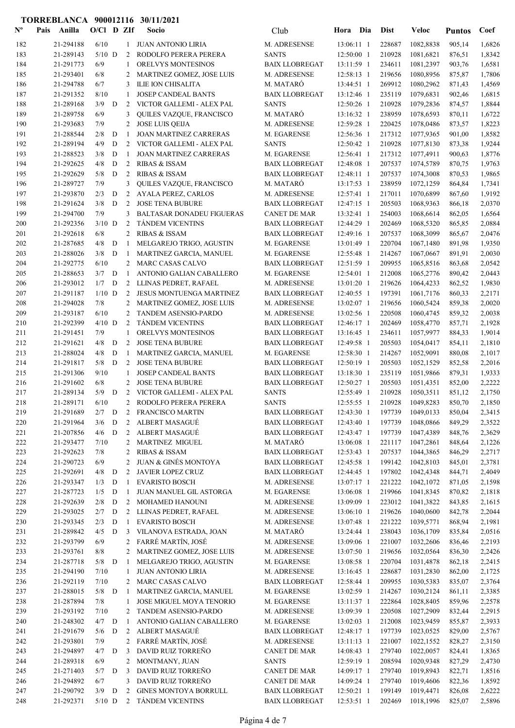| $N^{\text{o}}$ | Pais | Anilla                 | $O/CI$ D ZIf    |             |                     | Socio                                                       | Club                                           | Hora Dia                 | <b>Dist</b>      | Veloc                       | <b>Puntos</b>    | Coef             |
|----------------|------|------------------------|-----------------|-------------|---------------------|-------------------------------------------------------------|------------------------------------------------|--------------------------|------------------|-----------------------------|------------------|------------------|
| 182            |      | 21-294188              | 6/10            |             | $\mathbf{1}$        | JUAN ANTONIO LIRIA                                          | M. ADRESENSE                                   | 13:06:11 1               | 228687           | 1082,8838                   | 905,14           | 1,6826           |
| 183            |      | 21-289143              | $5/10$ D        |             | 2                   | RODOLFO PERERA PERERA                                       | <b>SANTS</b>                                   | 12:50:00 1               | 210928           | 1081,6821                   | 876,51           | 1,8342           |
| 184            |      | 21-291773              | 6/9             |             | -1                  | ORELVYS MONTESINOS                                          | <b>BAIX LLOBREGAT</b>                          | 13:11:59 1               | 234611           | 1081,2397                   | 903,76           | 1,6581           |
| 185            |      | 21-293401              | 6/8             |             | 2                   | MARTINEZ GOMEZ, JOSE LUIS                                   | M. ADRESENSE                                   | 12:58:13 1               | 219656           | 1080,8956                   | 875,87           | 1,7806           |
| 186            |      | 21-294788              | 6/7             |             | 3                   | ILIE ION CHISALITA                                          | M. MATARÓ                                      | 13:44:51 1               | 269912           | 1080,2962                   | 871,43           | 1,4569           |
| 187            |      | 21-291352              | 8/10            |             | -1                  | <b>JOSEP CANDEAL BANTS</b>                                  | <b>BAIX LLOBREGAT</b>                          | 13:12:46 1               | 235119           | 1079,6831                   | 902,46           | 1,6815           |
| 188<br>189     |      | 21-289168<br>21-289758 | 3/9<br>6/9      | D           | 2<br>3              | VICTOR GALLEMI - ALEX PAL<br>QUILES VAZQUE, FRANCISCO       | <b>SANTS</b><br>M. MATARÓ                      | 12:50:26 1<br>13:16:32 1 | 210928<br>238959 | 1079,2836<br>1078,6593      | 874,57<br>870,11 | 1,8844<br>1,6722 |
| 190            |      | 21-293683              | 7/9             |             | 2                   | <b>JOSE LUIS QEIJA</b>                                      | M. ADRESENSE                                   | 12:59:28 1               | 220425           | 1078,0486                   | 873,57           | 1,8223           |
| 191            |      | 21-288544              | 2/8             | D           | -1                  | <b>JOAN MARTINEZ CARRERAS</b>                               | M. EGARENSE                                    | 12:56:36 1               | 217312           | 1077,9365                   | 901,00           | 1,8582           |
| 192            |      | 21-289194              | 4/9             | D           | 2                   | VICTOR GALLEMI - ALEX PAL                                   | <b>SANTS</b>                                   | 12:50:42 1               | 210928           | 1077,8130                   | 873,38           | 1,9244           |
| 193            |      | 21-288523              | 3/8             | D           | -1                  | <b>JOAN MARTINEZ CARRERAS</b>                               | M. EGARENSE                                    | 12:56:41 1               | 217312           | 1077,4911                   | 900,63           | 1,8776           |
| 194            |      | 21-292625              | 4/8             | D           | 2                   | <b>RIBAS &amp; ISSAM</b>                                    | <b>BAIX LLOBREGAT</b>                          | 12:48:08 1               | 207537           | 1074,5789                   | 870,75           | 1,9763           |
| 195            |      | 21-292629              | 5/8             | D           | 2                   | <b>RIBAS &amp; ISSAM</b>                                    | <b>BAIX LLOBREGAT</b>                          | 12:48:11 1               | 207537           | 1074,3008                   | 870,53           | 1,9865           |
| 196            |      | 21-289727              | 7/9             |             | 3                   | QUILES VAZQUE, FRANCISCO                                    | M. MATARÓ                                      | 13:17:53 1               | 238959           | 1072,1259                   | 864,84           | 1,7341           |
| 197            |      | 21-293870              | 2/3             | ${\bf D}$   | 2                   | AYALA PEREZ, CARLOS                                         | M. ADRESENSE                                   | 12:57:41 1               | 217011           | 1070,6899                   | 867,60           | 1,9192           |
| 198            |      | 21-291624              | 3/8             | D           | 2                   | <b>JOSE TENA BUBURE</b>                                     | <b>BAIX LLOBREGAT</b>                          | 12:47:15 1               | 205503           | 1068,9363                   | 866,18           | 2,0370           |
| 199            |      | 21-294700              | 7/9<br>$3/10$ D |             | 3<br>2              | <b>BALTASAR DONADEU FIGUERAS</b><br><b>TÁNDEM VICENTINS</b> | <b>CANET DE MAR</b>                            | 13:32:41 1<br>12:44:29 1 | 254003<br>202469 | 1068,6614                   | 862,05           | 1,6564<br>2,0884 |
| 200<br>201     |      | 21-292356<br>21-292618 | 6/8             |             | 2                   | <b>RIBAS &amp; ISSAM</b>                                    | <b>BAIX LLOBREGAT</b><br><b>BAIX LLOBREGAT</b> | 12:49:16 1               | 207537           | 1068,5320<br>1068,3099      | 865,85<br>865,67 | 2,0476           |
| 202            |      | 21-287685              | 4/8             | D           | -1                  | MELGAREJO TRIGO, AGUSTIN                                    | M. EGARENSE                                    | 13:01:49 1               | 220704           | 1067,1480                   | 891,98           | 1,9350           |
| 203            |      | 21-288026              | 3/8             | D           | -1                  | MARTINEZ GARCIA, MANUEL                                     | M. EGARENSE                                    | 12:55:48 1               | 214267           | 1067,0667                   | 891,91           | 2,0030           |
| 204            |      | 21-292775              | 6/10            |             | 2                   | <b>MARC CASAS CALVO</b>                                     | <b>BAIX LLOBREGAT</b>                          | 12:51:59 1               | 209955           | 1065,8516                   | 863,68           | 2,0542           |
| 205            |      | 21-288653              | 3/7             | D           | -1                  | ANTONIO GALIAN CABALLERO                                    | M. EGARENSE                                    | 12:54:01 1               | 212008           | 1065,2776                   | 890,42           | 2,0443           |
| 206            |      | 21-293012              | 1/7             | D           | 2                   | LLINAS PEDRET, RAFAEL                                       | M. ADRESENSE                                   | 13:01:20 1               | 219626           | 1064,4233                   | 862,52           | 1,9830           |
| 207            |      | 21-291187              | $1/10$ D        |             | 2                   | <b>JESUS MONTUENGA MARTINEZ</b>                             | <b>BAIX LLOBREGAT</b>                          | 12:40:55 1               | 197391           | 1061,7176                   | 860,33           | 2,2171           |
| 208            |      | 21-294028              | 7/8             |             | 2                   | MARTINEZ GOMEZ, JOSE LUIS                                   | M. ADRESENSE                                   | 13:02:07 1               | 219656           | 1060,5424                   | 859,38           | 2,0020           |
| 209            |      | 21-293187              | 6/10            |             | 2                   | TANDEM ASENSIO-PARDO                                        | M. ADRESENSE                                   | 13:02:56 1               | 220508           | 1060,4745                   | 859,32           | 2,0038           |
| 210            |      | 21-292399              | $4/10$ D        |             | 2                   | <b>TÁNDEM VICENTINS</b>                                     | <b>BAIX LLOBREGAT</b>                          | 12:46:17 1               | 202469           | 1058,4770                   | 857,71           | 2,1928           |
| 211            |      | 21-291451              | 7/9             |             | 1                   | ORELVYS MONTESINOS                                          | <b>BAIX LLOBREGAT</b>                          | 13:16:45 1               | 234611           | 1057,9977                   | 884,33           | 1,9014           |
| 212<br>213     |      | 21-291621<br>21-288024 | 4/8<br>4/8      | D<br>D      | 2<br>-1             | <b>JOSE TENA BUBURE</b><br>MARTINEZ GARCIA, MANUEL          | <b>BAIX LLOBREGAT</b><br>M. EGARENSE           | 12:49:58 1<br>12:58:30 1 | 205503<br>214267 | 1054,0417<br>1052,9091      | 854,11<br>880,08 | 2,1810<br>2,1017 |
| 214            |      | 21-291817              | 5/8             | D           | 2                   | <b>JOSE TENA BUBURE</b>                                     | <b>BAIX LLOBREGAT</b>                          | 12:50:19 1               | 205503           | 1052,1529                   | 852,58           | 2,2016           |
| 215            |      | 21-291306              | 9/10            |             | 1                   | JOSEP CANDEAL BANTS                                         | <b>BAIX LLOBREGAT</b>                          | 13:18:30 1               | 235119           | 1051,9866                   | 879,31           | 1,9333           |
| 216            |      | 21-291602              | 6/8             |             | 2                   | <b>JOSE TENA BUBURE</b>                                     | <b>BAIX LLOBREGAT</b>                          | $12:50:27$ 1             | 205503           | 1051,4351                   | 852,00           | 2,2222           |
| 217            |      | 21-289134              | 5/9             | D           | 2                   | VICTOR GALLEMI - ALEX PAL                                   | <b>SANTS</b>                                   | 12:55:49 1               | 210928           | 1050,3511                   | 851,12           | 2,1750           |
| 218            |      | 21-289171              | 6/10            |             | 2                   | RODOLFO PERERA PERERA                                       | <b>SANTS</b>                                   | 12:55:55 1               | 210928           | 1049,8283                   | 850,70           | 2,1850           |
| 219            |      | 21-291689              |                 |             |                     | 2/7 D 2 FRANCISCO MARTIN                                    | <b>BAIX LLOBREGAT</b>                          |                          |                  | 12:43:30 1 197739 1049,0133 | 850,04           | 2,3415           |
| 220            |      | 21-291964              | 3/6             | D           | $2^{\circ}$         | ALBERT MASAGUÉ                                              | <b>BAIX LLOBREGAT</b>                          | 12:43:40 1               | 197739           | 1048,0866                   | 849,29           | 2,3522           |
| 221            |      | 21-207856              | 4/6             | D           | $2^{\circ}$         | ALBERT MASAGUÉ                                              | <b>BAIX LLOBREGAT</b>                          | 12:43:47 1               | 197739           | 1047,4389                   | 848,76           | 2,3629           |
| 222            |      | 21-293477              | 7/10            |             |                     | 2 MARTINEZ MIGUEL                                           | M. MATARÓ                                      | 13:06:08 1               | 221117           | 1047,2861<br>1044,3865      | 848,64           | 2,1226           |
| 223<br>224     |      | 21-292623<br>21-290723 | 7/8<br>6/9      |             | 2<br>2              | <b>RIBAS &amp; ISSAM</b><br><b>JUAN &amp; GINÉS MONTOYA</b> | <b>BAIX LLOBREGAT</b><br><b>BAIX LLOBREGAT</b> | 12:53:43 1<br>12:45:58 1 | 207537<br>199142 | 1042,8103                   | 846,29<br>845,01 | 2,2717<br>2,3781 |
| 225            |      | 21-292691              | 4/8             | D           | 2                   | JAVIER LOPEZ CRUZ                                           | <b>BAIX LLOBREGAT</b>                          | 12:44:45 1               | 197802           | 1042,4348                   | 844,71           | 2,4049           |
| 226            |      | 21-293347              | 1/3             | D           | -1                  | <b>EVARISTO BOSCH</b>                                       | M. ADRESENSE                                   | 13:07:17 1               | 221222           | 1042,1072                   | 871,05           | 2,1598           |
| 227            |      | 21-287723              | 1/5             | D           | 1                   | JUAN MANUEL GIL ASTORGA                                     | M. EGARENSE                                    | 13:06:08 1               | 219966           | 1041,8345                   | 870,82           | 2,1818           |
| 228            |      | 21-292639              | 2/8             | $\mathbf D$ | 2                   | MOHAMED HANOUNI                                             | M. ADRESENSE                                   | 13:09:09 1               | 223012           | 1041,3822                   | 843,85           | 2,1615           |
| 229            |      | 21-293025              | 2/7             | D           | $\overline{2}$      | LLINAS PEDRET, RAFAEL                                       | M. ADRESENSE                                   | 13:06:10 1               | 219626           | 1040,0600                   | 842,78           | 2,2044           |
| 230            |      | 21-293345              | 2/3             | D           | -1                  | <b>EVARISTO BOSCH</b>                                       | M. ADRESENSE                                   | 13:07:48 1               | 221222           | 1039,5771                   | 868,94           | 2,1981           |
| 231            |      | 21-289842              | 4/5             | D           | 3                   | VILANOVA ESTRADA, JOAN                                      | M. MATARÓ                                      | 13:24:44 1               | 238043           | 1036,1709                   | 835,84           | 2,0516           |
| 232            |      | 21-293799              | 6/9             |             | $\overline{2}$      | FARRÉ MARTÍN, JOSÉ                                          | M. ADRESENSE                                   | 13:09:06 1               | 221007           | 1032,2606                   | 836,46           | 2,2193           |
| 233            |      | 21-293761              | 8/8             |             | 2                   | MARTINEZ GOMEZ, JOSE LUIS                                   | M. ADRESENSE                                   | 13:07:50 1               | 219656           | 1032,0564                   | 836,30           | 2,2426           |
| 234<br>235     |      | 21-287718<br>21-294190 | $5/8$ D<br>7/10 |             | -1<br>1             | MELGAREJO TRIGO, AGUSTIN<br><b>JUAN ANTONIO LIRIA</b>       | M. EGARENSE<br>M. ADRESENSE                    | 13:08:58 1<br>13:16:45 1 | 220704<br>228687 | 1031,4878<br>1031,2830      | 862,18<br>862,00 | 2,2415<br>2,1725 |
| 236            |      | 21-292119              | $7/10$          |             | 2                   | MARC CASAS CALVO                                            | <b>BAIX LLOBREGAT</b>                          | 12:58:44 1               | 209955           | 1030,5383                   | 835,07           | 2,3764           |
| 237            |      | 21-288015              | $5/8$ D         |             | -1                  | MARTINEZ GARCIA, MANUEL                                     | M. EGARENSE                                    | 13:02:59 1               | 214267           | 1030,2124                   | 861,11           | 2,3385           |
| 238            |      | 21-287894              | 7/8             |             | 1                   | JOSE MIGUEL MOYA TENORIO                                    | M. EGARENSE                                    | 13:11:37 1               | 222864           | 1028,8405                   | 859,96           | 2,2578           |
| 239            |      | 21-293192              | 7/10            |             | 2                   | TANDEM ASENSIO-PARDO                                        | M. ADRESENSE                                   | 13:09:39 1               | 220508           | 1027,2909                   | 832,44           | 2,2915           |
| 240            |      | 21-248302              | 4/7             | D           | -1                  | ANTONIO GALIAN CABALLERO                                    | M. EGARENSE                                    | 13:02:03 1               | 212008           | 1023,9459                   | 855,87           | 2,3933           |
| 241            |      | 21-291679              | 5/6             | D           | $\overline{2}$      | ALBERT MASAGUÉ                                              | <b>BAIX LLOBREGAT</b>                          | 12:48:17 1               | 197739           | 1023,0525                   | 829,00           | 2,5767           |
| 242            |      | 21-293801              | 7/9             |             |                     | 2 FARRÉ MARTÍN, JOSÉ                                        | M. ADRESENSE                                   | $13:11:13$ 1             | 221007           | 1022,1552                   | 828,27           | 2,3150           |
| 243            |      | 21-294897              | 4/7             | D           | 3                   | DAVID RUIZ TORREÑO                                          | <b>CANET DE MAR</b>                            | 14:08:43 1               | 279740           | 1022,0057                   | 824,41           | 1,8365           |
| 244            |      | 21-289318              | 6/9             |             | 2                   | MONTMANY, JUAN                                              | <b>SANTS</b>                                   | 12:59:19 1               | 208594           | 1020,9348                   | 827,29           | 2,4730           |
| 245            |      | 21-271403<br>21-294892 | 5/7<br>6/7      | D           | 3                   | DAVID RUIZ TORREÑO<br>DAVID RUIZ TORREÑO                    | <b>CANET DE MAR</b><br><b>CANET DE MAR</b>     | 14:09:17 1<br>14:09:24 1 | 279740<br>279740 | 1019,8943<br>1019,4606      | 822,71           | 1,8516           |
| 246<br>247     |      | 21-290792              | $3/9$ D         |             | 3<br>$\overline{2}$ | GINES MONTOYA BORRULL                                       | <b>BAIX LLOBREGAT</b>                          | 12:50:21 1               | 199149           | 1019,4471                   | 822,36<br>826,08 | 1,8592<br>2,6222 |
| 248            |      | 21-292371              | $5/10$ D        |             |                     | 2 TÁNDEM VICENTINS                                          | <b>BAIX LLOBREGAT</b>                          | 12:53:51 1               | 202469           | 1018,1996                   | 825,07           | 2,5896           |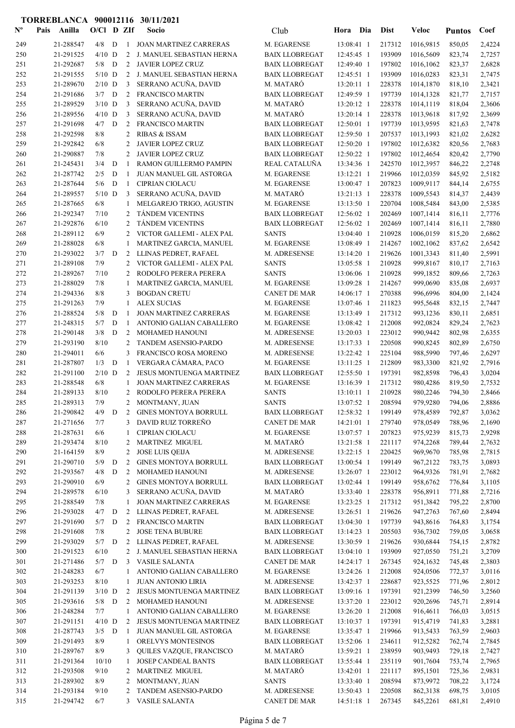| $N^{\text{o}}$ | Pais | Anilla                 | $O/CI$ D ZIf   |        |                | Socio                                               | Club                                           | Hora                     | Dia        | <b>Dist</b>      | Veloc                  | <b>Puntos</b>    | Coef             |
|----------------|------|------------------------|----------------|--------|----------------|-----------------------------------------------------|------------------------------------------------|--------------------------|------------|------------------|------------------------|------------------|------------------|
| 249            |      | 21-288547              | 4/8            | D      | 1              | <b>JOAN MARTINEZ CARRERAS</b>                       | M. EGARENSE                                    | 13:08:41 1               |            | 217312           | 1016,9815              | 850,05           | 2,4224           |
| 250            |      | 21-291525              | $4/10$ D       |        | 2              | J. MANUEL SEBASTIAN HERNA                           | <b>BAIX LLOBREGAT</b>                          | 12:45:45 1               |            | 193909           | 1016,5609              | 823,74           | 2,7257           |
| 251            |      | 21-292687              | 5/8            | D      | $\overline{2}$ | <b>JAVIER LOPEZ CRUZ</b>                            | <b>BAIX LLOBREGAT</b>                          | 12:49:40 1               |            | 197802           | 1016,1062              | 823,37           | 2,6828           |
| 252            |      | 21-291555              | $5/10$ D       |        | 2              | J. MANUEL SEBASTIAN HERNA                           | <b>BAIX LLOBREGAT</b>                          | 12:45:51 1               |            | 193909           | 1016,0283              | 823,31           | 2,7475           |
| 253            |      | 21-289670              | $2/10$ D       |        | 3              | SERRANO ACUÑA, DAVID                                | M. MATARÓ                                      | 13:20:11 1               |            | 228378           | 1014,1870              | 818,10           | 2,3421           |
| 254            |      | 21-291686              | $3/7$ D        |        | 2              | <b>FRANCISCO MARTIN</b>                             | <b>BAIX LLOBREGAT</b>                          | 12:49:59 1               |            | 197739           | 1014,1328              | 821,77           | 2,7157           |
| 255            |      | 21-289529              | $3/10$ D       |        | 3              | SERRANO ACUÑA, DAVID                                | M. MATARÓ                                      | 13:20:12 1               |            | 228378           | 1014,1119              | 818,04           | 2,3606           |
| 256            |      | 21-289556              | $4/10$ D       |        | 3              | SERRANO ACUÑA, DAVID                                | M. MATARÓ                                      | 13:20:14 1               |            | 228378           | 1013,9618              | 817,92           | 2,3699           |
| 257<br>258     |      | 21-291698<br>21-292598 | 4/7<br>8/8     | D      | 2<br>2         | <b>FRANCISCO MARTIN</b><br><b>RIBAS &amp; ISSAM</b> | <b>BAIX LLOBREGAT</b><br><b>BAIX LLOBREGAT</b> | 12:50:01 1<br>12:59:50 1 |            | 197739<br>207537 | 1013,9595<br>1013,1993 | 821,63<br>821,02 | 2,7478<br>2,6282 |
| 259            |      | 21-292842              | 6/8            |        | $\overline{2}$ | JAVIER LOPEZ CRUZ                                   | <b>BAIX LLOBREGAT</b>                          | 12:50:20 1               |            | 197802           | 1012,6382              | 820,56           | 2,7683           |
| 260            |      | 21-290887              | 7/8            |        | 2              | <b>JAVIER LOPEZ CRUZ</b>                            | <b>BAIX LLOBREGAT</b>                          | 12:50:22 1               |            | 197802           | 1012,4654              | 820,42           | 2,7790           |
| 261            |      | 21-245431              | 3/4            | D      | -1             | RAMON GUILLERMO PAMPIN                              | REAL CATALUÑA                                  | 13:34:36 1               |            | 242570           | 1012,3957              | 846,22           | 2,2748           |
| 262            |      | 21-287742              | 2/5            | D      | -1             | JUAN MANUEL GIL ASTORGA                             | M. EGARENSE                                    | 13:12:21 1               |            | 219966           | 1012,0359              | 845,92           | 2,5182           |
| 263            |      | 21-287644              | 5/6            | D      | $\mathbf{1}$   | <b>CIPRIAN CIOLACU</b>                              | M. EGARENSE                                    | 13:00:47 1               |            | 207823           | 1009,9117              | 844,14           | 2,6755           |
| 264            |      | 21-289557              | $5/10$ D       |        | 3              | SERRANO ACUÑA, DAVID                                | M. MATARÓ                                      | 13:21:13 1               |            | 228378           | 1009,5543              | 814,37           | 2,4439           |
| 265            |      | 21-287665              | 6/8            |        |                | MELGAREJO TRIGO, AGUSTIN                            | M. EGARENSE                                    | 13:13:50 1               |            | 220704           | 1008,5484              | 843,00           | 2,5385           |
| 266            |      | 21-292347              | 7/10           |        | 2              | <b>TÁNDEM VICENTINS</b>                             | <b>BAIX LLOBREGAT</b>                          | 12:56:02 1               |            | 202469           | 1007,1414              | 816,11           | 2,7776           |
| 267            |      | 21-292876              | 6/10           |        | 2              | <b>TANDEM VICENTINS</b>                             | <b>BAIX LLOBREGAT</b>                          | $12:56:02$ 1             |            | 202469           | 1007,1414              | 816,11           | 2,7880           |
| 268            |      | 21-289112              | 6/9            |        | 2              | VICTOR GALLEMI - ALEX PAL                           | <b>SANTS</b>                                   | 13:04:40 1               |            | 210928           | 1006,0159              | 815,20           | 2,6862           |
| 269            |      | 21-288028              | 6/8            |        | 1              | MARTINEZ GARCIA, MANUEL                             | M. EGARENSE                                    | 13:08:49 1               |            | 214267           | 1002,1062              | 837,62           | 2,6542           |
| 270<br>271     |      | 21-293022<br>21-289108 | 3/7<br>7/9     | D      | 2<br>2         | LLINAS PEDRET, RAFAEL<br>VICTOR GALLEMI - ALEX PAL  | M. ADRESENSE<br><b>SANTS</b>                   | 13:14:20 1<br>13:05:58 1 |            | 219626<br>210928 | 1001,3343              | 811,40<br>810,17 | 2,5991<br>2,7163 |
| 272            |      | 21-289267              | 7/10           |        | 2              | RODOLFO PERERA PERERA                               | <b>SANTS</b>                                   | 13:06:06 1               |            | 210928           | 999,8167<br>999.1852   | 809,66           | 2,7263           |
| 273            |      | 21-288029              | 7/8            |        | 1              | MARTINEZ GARCIA, MANUEL                             | M. EGARENSE                                    | 13:09:28 1               |            | 214267           | 999,0690               | 835,08           | 2,6937           |
| 274            |      | 21-294336              | 8/8            |        | 3              | <b>BOGDAN CRETU</b>                                 | <b>CANET DE MAR</b>                            | 14:06:17 1               |            | 270388           | 996,6996               | 804,00           | 2,1424           |
| 275            |      | 21-291263              | 7/9            |        | 1              | <b>ALEX SUCIAS</b>                                  | M. EGARENSE                                    | 13:07:46 1               |            | 211823           | 995,5648               | 832,15           | 2,7447           |
| 276            |      | 21-288524              | 5/8            | D      | -1             | <b>JOAN MARTINEZ CARRERAS</b>                       | M. EGARENSE                                    | 13:13:49 1               |            | 217312           | 993,1236               | 830,11           | 2,6851           |
| 277            |      | 21-248315              | 5/7            | D      | -1             | ANTONIO GALIAN CABALLERO                            | M. EGARENSE                                    | 13:08:42 1               |            | 212008           | 992,0824               | 829,24           | 2,7623           |
| 278            |      | 21-290148              | 3/8            | D      | 2              | <b>MOHAMED HANOUNI</b>                              | M. ADRESENSE                                   | 13:20:03 1               |            | 223012           | 990,9442               | 802,98           | 2,6355           |
| 279            |      | 21-293190              | 8/10           |        | 2              | TANDEM ASENSIO-PARDO                                | M. ADRESENSE                                   | 13:17:33 1               |            | 220508           | 990,8245               | 802,89           | 2,6750           |
| 280            |      | 21-294011              | 6/6            |        | 3              | FRANCISCO ROSA MORENO                               | M. ADRESENSE                                   | 13:22:42 1               |            | 225104           | 988,5990               | 797,46           | 2,6297           |
| 281            |      | 21-287807              | 1/3            | D      | -1             | VERGARA CÁMARA, PACO                                | M. EGARENSE                                    | 13:11:25 1               |            | 212809           | 983,3300               | 821,92           | 2,7916           |
| 282            |      | 21-291100              | $2/10$ D       |        | 2              | <b>JESUS MONTUENGA MARTINEZ</b>                     | <b>BAIX LLOBREGAT</b>                          | 12:55:50 1               |            | 197391           | 982,8598               | 796,43           | 3,0204           |
| 283            |      | 21-288548<br>21-289133 | 6/8            |        | 1              | <b>JOAN MARTINEZ CARRERAS</b>                       | M. EGARENSE                                    | 13:16:39 1               |            | 217312           | 980,4286               | 819,50           | 2,7532           |
| 284<br>285     |      | 21-289313              | 8/10<br>7/9    |        | 2<br>2         | RODOLFO PERERA PERERA<br>MONTMANY, JUAN             | <b>SANTS</b><br><b>SANTS</b>                   | 13:10:11 1<br>13:07:52 1 |            | 210928<br>208594 | 980,2246<br>979,9280   | 794,30<br>794,06 | 2,8466<br>2,8886 |
| 286            |      | 21-290842              | $4/9$ D        |        |                | 2 GINES MONTOYA BORRULL                             | <b>BAIX LLOBREGAT</b>                          |                          | 12:58:32 1 | 199149           | 978,4589               | 792,87           | 3,0362           |
| 287            |      | 21-271656              | 7/7            |        |                | 3 DAVID RUIZ TORREÑO                                | <b>CANET DE MAR</b>                            | 14:21:01 1               |            | 279740           | 978,0549               | 788,96           | 2,1690           |
| 288            |      | 21-287631              | 6/6            |        | 1              | <b>CIPRIAN CIOLACU</b>                              | M. EGARENSE                                    | 13:07:57 1               |            | 207823           | 975,9239               | 815,73           | 2,9298           |
| 289            |      | 21-293474              | 8/10           |        |                | 2 MARTINEZ MIGUEL                                   | M. MATARÓ                                      | 13:21:58 1               |            | 221117           | 974,2268               | 789,44           | 2,7632           |
| 290            |      | 21-164159              | 8/9            |        | 2              | <b>JOSE LUIS QEIJA</b>                              | M. ADRESENSE                                   | $13:22:15$ 1             |            | 220425           | 969,9670               | 785,98           | 2,7815           |
| 291            |      | 21-290710              | 5/9            | D      | 2              | <b>GINES MONTOYA BORRULL</b>                        | <b>BAIX LLOBREGAT</b>                          | 13:00:54 1               |            | 199149           | 967,2122               | 783,75           | 3,0893           |
| 292            |      | 21-293567              | 4/8            | D      | 2              | <b>MOHAMED HANOUNI</b>                              | M. ADRESENSE                                   | 13:26:07 1               |            | 223012           | 964,9326               | 781,91           | 2,7682           |
| 293            |      | 21-290910              | 6/9            |        | 2              | <b>GINES MONTOYA BORRULL</b>                        | <b>BAIX LLOBREGAT</b>                          | 13:02:44 1               |            | 199149           | 958,6762               | 776,84           | 3,1105           |
| 294            |      | 21-289578              | 6/10           |        | 3              | SERRANO ACUÑA, DAVID                                | M. MATARÓ                                      | 13:33:40 1               |            | 228378           | 956,8911               | 771,88           | 2,7216           |
| 295            |      | 21-288549              | 7/8            |        | 1              | <b>JOAN MARTINEZ CARRERAS</b>                       | M. EGARENSE                                    | 13:23:25 1               |            | 217312           | 951,3842               | 795,22           | 2,8700           |
| 296<br>297     |      | 21-293028<br>21-291690 | 4/7<br>5/7     | D<br>D | 2              | LLINAS PEDRET, RAFAEL<br>2 FRANCISCO MARTIN         | M. ADRESENSE<br><b>BAIX LLOBREGAT</b>          | 13:26:51 1<br>13:04:30 1 |            | 219626<br>197739 | 947,2763<br>943,8616   | 767,60<br>764,83 | 2,8494<br>3,1754 |
| 298            |      | 21-291608              | 7/8            |        | 2              | <b>JOSE TENA BUBURE</b>                             | <b>BAIX LLOBREGAT</b>                          | 13:14:23 1               |            | 205503           | 936,7302               | 759,05           | 3,0658           |
| 299            |      | 21-293029              | 5/7            | D      | 2              | LLINAS PEDRET, RAFAEL                               | M. ADRESENSE                                   | 13:30:59 1               |            | 219626           | 930,6844               | 754,15           | 2,8782           |
| 300            |      | 21-291523              | 6/10           |        |                | 2 J. MANUEL SEBASTIAN HERNA                         | <b>BAIX LLOBREGAT</b>                          | 13:04:10 1               |            | 193909           | 927,0550               | 751,21           | 3,2709           |
| 301            |      | 21-271486              | $5/7$ D        |        |                | 3 VASILE SALANTA                                    | <b>CANET DE MAR</b>                            | $14:24:17$ 1             |            | 267345           | 924,1632               | 745,48           | 2,3803           |
| 302            |      | 21-248283              | 6/7            |        |                | ANTONIO GALIAN CABALLERO                            | M. EGARENSE                                    | 13:24:26 1               |            | 212008           | 924,0506               | 772,37           | 3,0116           |
| 303            |      | 21-293253              | 8/10           |        | 1              | <b>JUAN ANTONIO LIRIA</b>                           | M. ADRESENSE                                   | 13:42:37 1               |            | 228687           | 923,5525               | 771,96           | 2,8012           |
| 304            |      | 21-291139              | $3/10$ D       |        | 2              | <b>JESUS MONTUENGA MARTINEZ</b>                     | <b>BAIX LLOBREGAT</b>                          | 13:09:16 1               |            | 197391           | 921,2399               | 746,50           | 3,2560           |
| 305            |      | 21-293616              | 5/8            | D      | 2              | MOHAMED HANOUNI                                     | M. ADRESENSE                                   | 13:37:20 1               |            | 223012           | 920,2696               | 745,71           | 2,8914           |
| 306            |      | 21-248284              | 7/7            |        | 1              | ANTONIO GALIAN CABALLERO                            | M. EGARENSE                                    | 13:26:20 1               |            | 212008           | 916,4611               | 766,03           | 3,0515           |
| 307            |      | 21-291151              | $4/10$ D       |        | 2              | JESUS MONTUENGA MARTINEZ                            | <b>BAIX LLOBREGAT</b>                          | 13:10:37 1               |            | 197391           | 915,4719               | 741,83           | 3,2881           |
| 308<br>309     |      | 21-287743<br>21-291493 | $3/5$ D<br>8/9 |        | -1<br>1        | JUAN MANUEL GIL ASTORGA<br>ORELVYS MONTESINOS       | M. EGARENSE<br><b>BAIX LLOBREGAT</b>           | 13:35:47 1<br>13:52:06 1 |            | 219966<br>234611 | 913,5433<br>912,5282   | 763,59<br>762,74 | 2,9603<br>2,7845 |
| 310            |      | 21-289767              | 8/9            |        | 3              | QUILES VAZQUE, FRANCISCO                            | M. MATARÓ                                      | 13:59:21 1               |            | 238959           | 903,9493               | 729,18           | 2,7427           |
| 311            |      | 21-291364              | 10/10          |        | 1              | JOSEP CANDEAL BANTS                                 | <b>BAIX LLOBREGAT</b>                          | 13:55:44 1               |            | 235119           | 901,7604               | 753,74           | 2,7965           |
| 312            |      | 21-293508              | 9/10           |        |                | 2 MARTINEZ MIGUEL                                   | M. MATARÓ                                      | 13:42:01 1               |            | 221117           | 895,1501               | 725,36           | 2,9831           |
| 313            |      | 21-289302              | 8/9            |        | 2              | MONTMANY, JUAN                                      | <b>SANTS</b>                                   | 13:33:40 1               |            | 208594           | 873,9972               | 708,22           | 3,1724           |
| 314            |      | 21-293184              | 9/10           |        |                | 2 TANDEM ASENSIO-PARDO                              | M. ADRESENSE                                   | 13:50:43 1               |            | 220508           | 862,3138               | 698,75           | 3,0105           |
| 315            |      | 21-294742              | 6/7            |        |                | 3 VASILE SALANTA                                    | CANET DE MAR                                   | 14:51:18 1               |            | 267345           | 845,2261               | 681,81           | 2,4910           |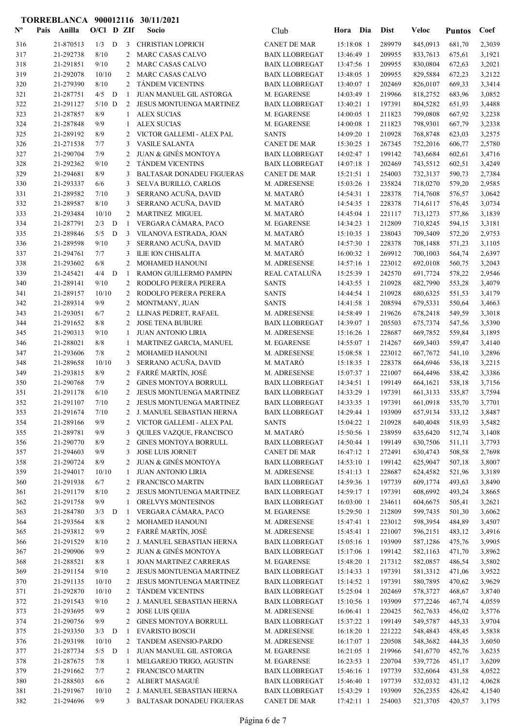| $\mathbf{N}^{\mathbf{o}}$ | Pais<br>Anilla         |             |              | $O/Cl$ D ZIf   | Socio                                                      | Club                                           | Hora Dia |                          | <b>Dist</b>       | Veloc                | <b>Puntos</b>    | Coef             |
|---------------------------|------------------------|-------------|--------------|----------------|------------------------------------------------------------|------------------------------------------------|----------|--------------------------|-------------------|----------------------|------------------|------------------|
| 316                       | 21-870513              | 1/3         | D            | 3              | <b>CHRISTIAN LOPRICH</b>                                   | <b>CANET DE MAR</b>                            |          | 15:18:08 1               | 289979            | 845,0913             | 681,70           | 2,3039           |
| 317                       | 21-292738              | 8/10        |              | 2              | <b>MARC CASAS CALVO</b>                                    | <b>BAIX LLOBREGAT</b>                          |          | 13:46:49 1               | 209955            | 833,7613             | 675,61           | 3,1921           |
| 318                       | 21-291851              | 9/10        |              | 2              | MARC CASAS CALVO                                           | <b>BAIX LLOBREGAT</b>                          |          | 13:47:56 1               | 209955            | 830,0804             | 672,63           | 3,2021           |
| 319                       | 21-292078              | 10/10       |              | 2              | MARC CASAS CALVO                                           | <b>BAIX LLOBREGAT</b>                          |          | 13:48:05 1               | 209955            | 829,5884             | 672,23           | 3,2122           |
| 320                       | 21-279390              | 8/10        |              | $\overline{2}$ | <b>TÁNDEM VICENTINS</b>                                    | <b>BAIX LLOBREGAT</b>                          |          | 13:40:07 1               | 202469            | 826,0107             | 669,33           | 3,3414           |
| 321                       | 21-287751              | $4/5$ D     |              | 1              | JUAN MANUEL GIL ASTORGA                                    | M. EGARENSE                                    |          | 14:03:49 1               | 219966            | 818,2752             | 683,96           | 3,0852           |
| 322                       | 21-291127              | $5/10$ D    |              | $\overline{2}$ | JESUS MONTUENGA MARTINEZ                                   | <b>BAIX LLOBREGAT</b>                          |          | 13:40:21 1               | 197391            | 804,5282             | 651,93           | 3,4488           |
| 323                       | 21-287857              | 8/9         |              | 1              | <b>ALEX SUCIAS</b>                                         | M. EGARENSE                                    |          | 14:00:05 1               | 211823            | 799,0808             | 667,92           | 3,2238           |
| 324                       | 21-287848              | 9/9         |              |                | <b>ALEX SUCIAS</b>                                         | M. EGARENSE                                    |          | 14:00:08 1               | 211823            | 798,9301             | 667,79           | 3,2338           |
| 325                       | 21-289192              | 8/9         |              | 2              | VICTOR GALLEMI - ALEX PAL                                  | <b>SANTS</b>                                   |          | 14:09:20 1               | 210928            | 768,8748             | 623,03           | 3,2575           |
| 326                       | 21-271538              | 7/7         |              | 3              | <b>VASILE SALANTA</b>                                      | <b>CANET DE MAR</b>                            |          | 15:30:25 1               | 267345            | 752,2016             | 606,77           | 2,5780           |
| 327                       | 21-290704              | 7/9         |              | 2              | JUAN & GINÉS MONTOYA                                       | <b>BAIX LLOBREGAT</b>                          |          | 14:02:47 1               | 199142            | 743,6684             | 602,61           | 3,4716           |
| 328                       | 21-292362              | 9/10        |              | 2              | <b>TÁNDEM VICENTINS</b>                                    | <b>BAIX LLOBREGAT</b>                          |          | 14:07:18 1               | 202469            | 743,5512             | 602,51           | 3,4249           |
| 329                       | 21-294681              | 8/9         |              | 3              | <b>BALTASAR DONADEU FIGUERAS</b>                           | CANET DE MAR                                   |          | 15:21:51 1               | 254003            | 732,3137             | 590,73           | 2,7384           |
| 330<br>331                | 21-293337<br>21-289582 | 6/6<br>7/10 |              | 3<br>3         | SELVA BURILLO, CARLOS<br>SERRANO ACUÑA, DAVID              | M. ADRESENSE<br>M. MATARÓ                      |          | 15:03:26 1<br>14:54:31 1 | 235824<br>228378  | 718,0270<br>714,7608 | 579,20<br>576,57 | 2,9585<br>3,0642 |
| 332                       | 21-289587              | 8/10        |              | 3              | SERRANO ACUÑA, DAVID                                       | M. MATARÓ                                      |          | 14:54:35 1               | 228378            | 714,6117             | 576,45           | 3,0734           |
| 333                       | 21-293484              | 10/10       |              | 2              | <b>MARTINEZ MIGUEL</b>                                     | M. MATARÓ                                      |          | 14:45:04 1               | 221117            | 713,1273             | 577,86           | 3,1839           |
| 334                       | 21-287791              | 2/3         | $\mathbf{D}$ | -1             | VERGARA CÁMARA, PACO                                       | M. EGARENSE                                    |          | 14:34:23 1               | 212809            | 710,8245             | 594,15           | 3,3181           |
| 335                       | 21-289846              | $5/5$ D     |              | 3              | VILANOVA ESTRADA, JOAN                                     | M. MATARÓ                                      |          | 15:10:35 1               | 238043            | 709,3409             | 572,20           | 2,9753           |
| 336                       | 21-289598              | 9/10        |              | 3              | SERRANO ACUÑA, DAVID                                       | M. MATARÓ                                      |          | 14:57:30 1               | 228378            | 708,1488             | 571,23           | 3,1105           |
| 337                       | 21-294761              | 7/7         |              | 3              | <b>ILIE ION CHISALITA</b>                                  | M. MATARÓ                                      |          | 16:00:32 1               | 269912            | 700,1003             | 564,74           | 2,6397           |
| 338                       | 21-293602              | 6/8         |              | 2              | MOHAMED HANOUNI                                            | M. ADRESENSE                                   |          | 14:57:16 1               | 223012            | 692,0108             | 560,75           | 3,2043           |
| 339                       | 21-245421              | 4/4         | D            | 1              | RAMON GUILLERMO PAMPIN                                     | REAL CATALUÑA                                  |          | 15:25:39 1               | 242570            | 691,7724             | 578,22           | 2,9546           |
| 340                       | 21-289141              | 9/10        |              | 2              | RODOLFO PERERA PERERA                                      | <b>SANTS</b>                                   |          | 14:43:55 1               | 210928            | 682,7990             | 553,28           | 3,4079           |
| 341                       | 21-289157              | 10/10       |              | $\overline{2}$ | RODOLFO PERERA PERERA                                      | <b>SANTS</b>                                   |          | 14:44:54 1               | 210928            | 680,6325             | 551,53           | 3,4179           |
| 342                       | 21-289314              | 9/9         |              | 2              | MONTMANY, JUAN                                             | <b>SANTS</b>                                   |          | 14:41:58 1               | 208594            | 679,5331             | 550,64           | 3,4663           |
| 343                       | 21-293051              | 6/7         |              | 2              | LLINAS PEDRET, RAFAEL                                      | M. ADRESENSE                                   |          | 14:58:49 1               | 219626            | 678,2418             | 549,59           | 3,3018           |
| 344                       | 21-291652              | 8/8         |              | 2              | <b>JOSE TENA BUBURE</b>                                    | <b>BAIX LLOBREGAT</b>                          |          | 14:39:07 1               | 205503            | 675,7374             | 547,56           | 3,5390           |
| 345                       | 21-290313              | 9/10        |              | 1              | <b>JUAN ANTONIO LIRIA</b>                                  | M. ADRESENSE                                   |          | 15:16:26 1               | 228687            | 669,7852             | 559,84           | 3,1895           |
| 346                       | 21-288021              | 8/8         |              | 1              | MARTINEZ GARCIA, MANUEL                                    | M. EGARENSE                                    |          | 14:55:07 1               | 214267            | 669,3403             | 559,47           | 3,4140           |
| 347                       | 21-293606              | 7/8         |              | 2              | <b>MOHAMED HANOUNI</b>                                     | M. ADRESENSE                                   |          | 15:08:58 1               | 223012            | 667,7672             | 541,10           | 3,2896           |
| 348                       | 21-289658              | 10/10       |              | 3              | SERRANO ACUÑA, DAVID                                       | M. MATARÓ                                      |          | 15:18:35 1               | 228378            | 664,6946             | 536,18           | 3,2215           |
| 349                       | 21-293815              | 8/9         |              | 2              | FARRÉ MARTÍN, JOSÉ                                         | M. ADRESENSE                                   |          | 15:07:37 1               | 221007            | 664,4496             | 538,42           | 3,3386           |
| 350                       | 21-290768              | 7/9         |              | 2              | <b>GINES MONTOYA BORRULL</b>                               | <b>BAIX LLOBREGAT</b>                          |          | 14:34:51 1               | 199149            | 664,1621             | 538,18           | 3,7156           |
| 351                       | 21-291178              | 6/10        |              | 2              | <b>JESUS MONTUENGA MARTINEZ</b>                            | <b>BAIX LLOBREGAT</b>                          |          | 14:33:29 1               | 197391            | 661,3133             | 535,87           | 3,7594           |
| 352                       | 21-291107              | 7/10        |              | 2              | <b>JESUS MONTUENGA MARTINEZ</b>                            | <b>BAIX LLOBREGAT</b>                          |          | 14:33:35 1               | 197391            | 661,0918             | 535,70           | 3,7701           |
| 353                       | 21-291674              | $7/10$      |              |                | 2 J. MANUEL SEBASTIAN HERNA                                | <b>BAIX LLOBREGAT</b>                          |          |                          | 14:29:44 1 193909 | 657,9134 533,12      |                  | 3,8487           |
| 354                       | 21-289166              | 9/9         |              | 2              | VICTOR GALLEMI - ALEX PAL                                  | <b>SANTS</b>                                   |          | 15:04:22 1               | 210928            | 640,4048             | 518,93           | 3,5482           |
| 355                       | 21-289781              | 9/9         |              | 3              | QUILES VAZQUE, FRANCISCO                                   | M. MATARÓ                                      |          | 15:50:56 1               | 238959            | 635,6420             | 512,74           | 3,1408           |
| 356                       | 21-290770              | 8/9         |              | 2              | <b>GINES MONTOYA BORRULL</b>                               | <b>BAIX LLOBREGAT</b>                          |          | 14:50:44 1               | 199149            | 630,7506             | 511,11           | 3,7793           |
| 357                       | 21-294603              | 9/9         |              | 3              | JOSE LUIS JORNET                                           | <b>CANET DE MAR</b>                            |          | 16:47:12 1               | 272491            | 630,4743             | 508,58           | 2,7698           |
| 358                       | 21-290724              | 8/9         |              | 2              | <b>JUAN &amp; GINÉS MONTOYA</b>                            | <b>BAIX LLOBREGAT</b>                          |          | 14:53:10 1               | 199142            | 625,9047             | 507,18           | 3,8007           |
| 359                       | 21-294017              | 10/10       |              | 1              | <b>JUAN ANTONIO LIRIA</b>                                  | M. ADRESENSE                                   |          | 15:41:13 1               | 228687            | 624,4582             | 521,96           | 3,3189           |
| 360                       | 21-291938<br>21-291179 | 6/7<br>8/10 |              | 2              | <b>FRANCISCO MARTIN</b><br><b>JESUS MONTUENGA MARTINEZ</b> | <b>BAIX LLOBREGAT</b><br><b>BAIX LLOBREGAT</b> |          | 14:59:36 1<br>14:59:17 1 | 197739<br>197391  | 609,1774<br>608,6992 | 493,63           | 3,8490           |
| 361<br>362                | 21-291758              | 9/9         |              | 2<br>1         | ORELVYS MONTESINOS                                         | <b>BAIX LLOBREGAT</b>                          |          | $16:03:00$ 1             | 234611            | 604,6675             | 493,24<br>505,41 | 3,8665<br>3,2621 |
| 363                       | 21-284780              | 3/3         | D            | -1             | VERGARA CÁMARA, PACO                                       | M. EGARENSE                                    |          | 15:29:50 1               | 212809            | 599,7435             | 501,30           | 3,6062           |
| 364                       | 21-293564              | 8/8         |              | 2              | MOHAMED HANOUNI                                            | M. ADRESENSE                                   |          | 15:47:41 1               | 223012            | 598,3954             | 484,89           | 3,4507           |
| 365                       | 21-293812              | 9/9         |              | 2              | FARRÉ MARTÍN, JOSÉ                                         | M. ADRESENSE                                   |          | 15:45:41 1               | 221007            | 596,2151             | 483,12           | 3,4916           |
| 366                       | 21-291529              | 8/10        |              | 2              | J. MANUEL SEBASTIAN HERNA                                  | <b>BAIX LLOBREGAT</b>                          |          | 15:05:16 1               | 193909            | 587,1286             | 475,76           | 3,9905           |
| 367                       | 21-290906              | 9/9         |              | $\overline{2}$ | <b>JUAN &amp; GINÉS MONTOYA</b>                            | <b>BAIX LLOBREGAT</b>                          |          | 15:17:06 1               | 199142            | 582,1163             | 471,70           | 3,8962           |
| 368                       | 21-288521              | 8/8         |              | 1              | <b>JOAN MARTINEZ CARRERAS</b>                              | M. EGARENSE                                    |          | 15:48:20 1               | 217312            | 582,0857             | 486,54           | 3,5802           |
| 369                       | 21-291154              | 9/10        |              | 2              | JESUS MONTUENGA MARTINEZ                                   | <b>BAIX LLOBREGAT</b>                          |          | 15:14:33 1               | 197391            | 581,3312             | 471,06           | 3,9522           |
| 370                       | 21-291135              | 10/10       |              | $\overline{2}$ | JESUS MONTUENGA MARTINEZ                                   | <b>BAIX LLOBREGAT</b>                          |          | 15:14:52 1               | 197391            | 580,7895             | 470,62           | 3,9629           |
| 371                       | 21-292870              | 10/10       |              | 2              | TÁNDEM VICENTINS                                           | <b>BAIX LLOBREGAT</b>                          |          | 15:25:04 1               | 202469            | 578,3727             | 468,67           | 3,8740           |
| 372                       | 21-291543              | 9/10        |              | 2              | J. MANUEL SEBASTIAN HERNA                                  | <b>BAIX LLOBREGAT</b>                          |          | 15:10:56 1               | 193909            | 577,2246             | 467,74           | 4,0559           |
| 373                       | 21-293695              | 9/9         |              | 2              | <b>JOSE LUIS QEIJA</b>                                     | M. ADRESENSE                                   |          | 16:06:41 1               | 220425            | 562,7633             | 456,02           | 3,5776           |
| 374                       | 21-290756              | 9/9         |              | 2              | <b>GINES MONTOYA BORRULL</b>                               | <b>BAIX LLOBREGAT</b>                          |          | 15:37:22 1               | 199149            | 549,5787             | 445,33           | 3,9704           |
| 375                       | 21-293350              | $3/3$ D     |              | 1              | <b>EVARISTO BOSCH</b>                                      | M. ADRESENSE                                   |          | 16:18:20 1               | 221222            | 548,4843             | 458,45           | 3,5838           |
| 376                       | 21-293198              | 10/10       |              | 2              | TANDEM ASENSIO-PARDO                                       | M. ADRESENSE                                   |          | 16:17:07 1               | 220508            | 548,3682             | 444,35           | 3,6050           |
| 377                       | 21-287734              | $5/5$ D     |              | -1             | JUAN MANUEL GIL ASTORGA                                    | M. EGARENSE                                    |          | $16:21:05$ 1             | 219966            | 541,6770             | 452,76           | 3,6235           |
| 378                       | 21-287675              | 7/8         |              | 1              | MELGAREJO TRIGO, AGUSTIN                                   | M. EGARENSE                                    |          | 16:23:53 1               | 220704            | 539,7726             | 451,17           | 3,6209           |
| 379                       | 21-291662              | 7/7         |              | 2              | FRANCISCO MARTIN                                           | <b>BAIX LLOBREGAT</b>                          |          | 15:46:16 1               | 197739            | 532,6064             | 431,58           | 4,0522           |
| 380                       | 21-288503              | 6/6         |              | 2              | ALBERT MASAGUÉ                                             | <b>BAIX LLOBREGAT</b>                          |          | 15:46:40 1               | 197739            | 532,0332             | 431,12           | 4,0628           |
| 381                       | 21-291967              | 10/10       |              | 2              | J. MANUEL SEBASTIAN HERNA                                  | <b>BAIX LLOBREGAT</b>                          |          | 15:43:29 1               | 193909            | 526,2355             | 426,42           | 4,1540           |
| 382                       | 21-294696              | 9/9         |              | 3              | BALTASAR DONADEU FIGUERAS                                  | CANET DE MAR                                   |          | 17:42:11 1               | 254003            | 521,3705             | 420,57           | 3,1795           |